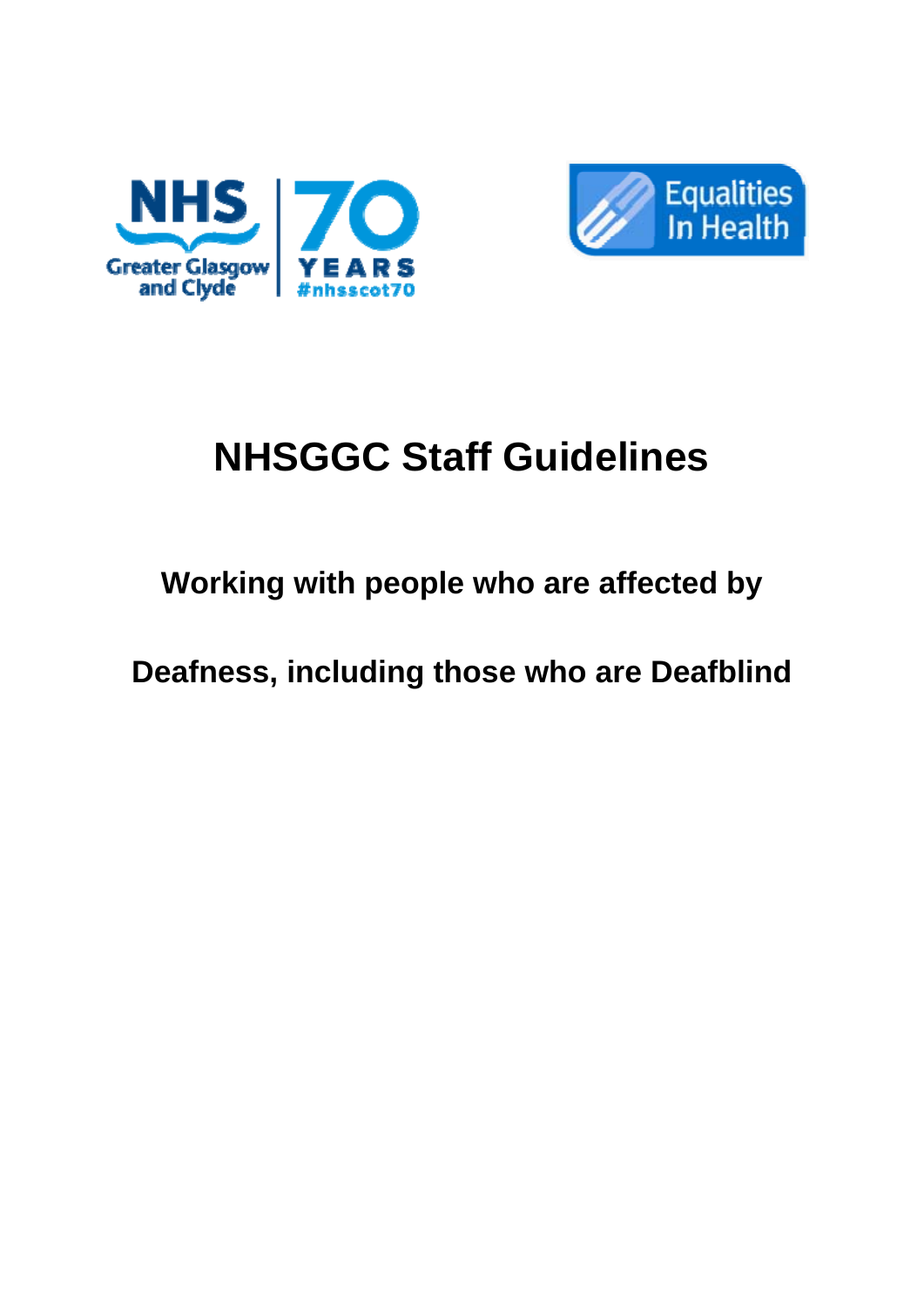



# **NHSGGC Staff Guidelines**

# **Working with people who are affected by**

**Deafness, including those who are Deafblind**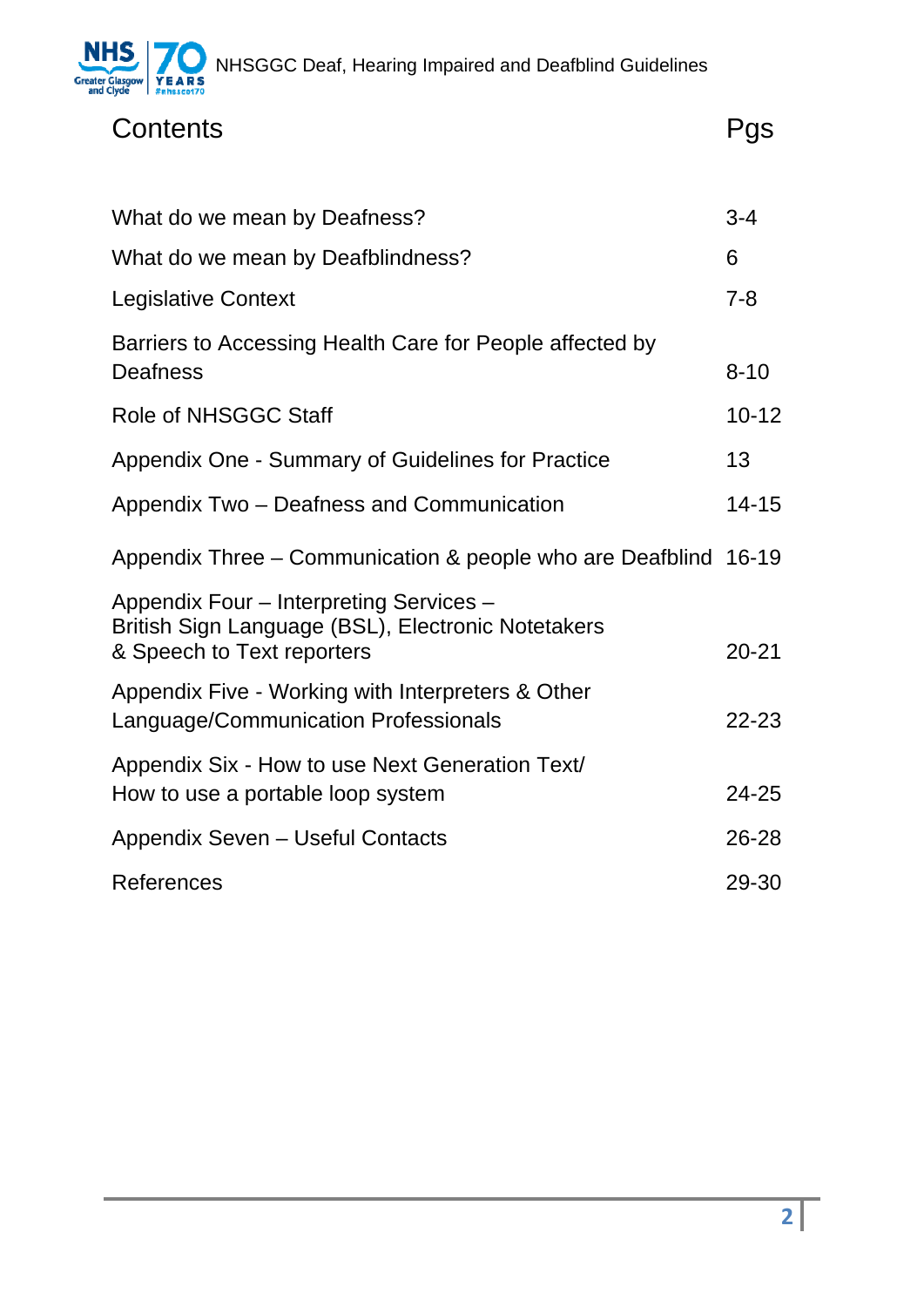

| Contents                                                                                                                    | Pgs       |
|-----------------------------------------------------------------------------------------------------------------------------|-----------|
| What do we mean by Deafness?                                                                                                | $3 - 4$   |
| What do we mean by Deafblindness?                                                                                           | 6         |
| <b>Legislative Context</b>                                                                                                  | $7 - 8$   |
| Barriers to Accessing Health Care for People affected by<br>Deafness                                                        | $8 - 10$  |
| <b>Role of NHSGGC Staff</b>                                                                                                 | $10 - 12$ |
| Appendix One - Summary of Guidelines for Practice                                                                           | 13        |
| Appendix Two – Deafness and Communication                                                                                   | $14 - 15$ |
| Appendix Three – Communication & people who are Deafblind 16-19                                                             |           |
| Appendix Four - Interpreting Services -<br>British Sign Language (BSL), Electronic Notetakers<br>& Speech to Text reporters | $20 - 21$ |
| Appendix Five - Working with Interpreters & Other<br>Language/Communication Professionals                                   | $22 - 23$ |
| Appendix Six - How to use Next Generation Text/<br>How to use a portable loop system                                        | $24 - 25$ |
| Appendix Seven - Useful Contacts                                                                                            | $26 - 28$ |
| References                                                                                                                  | 29-30     |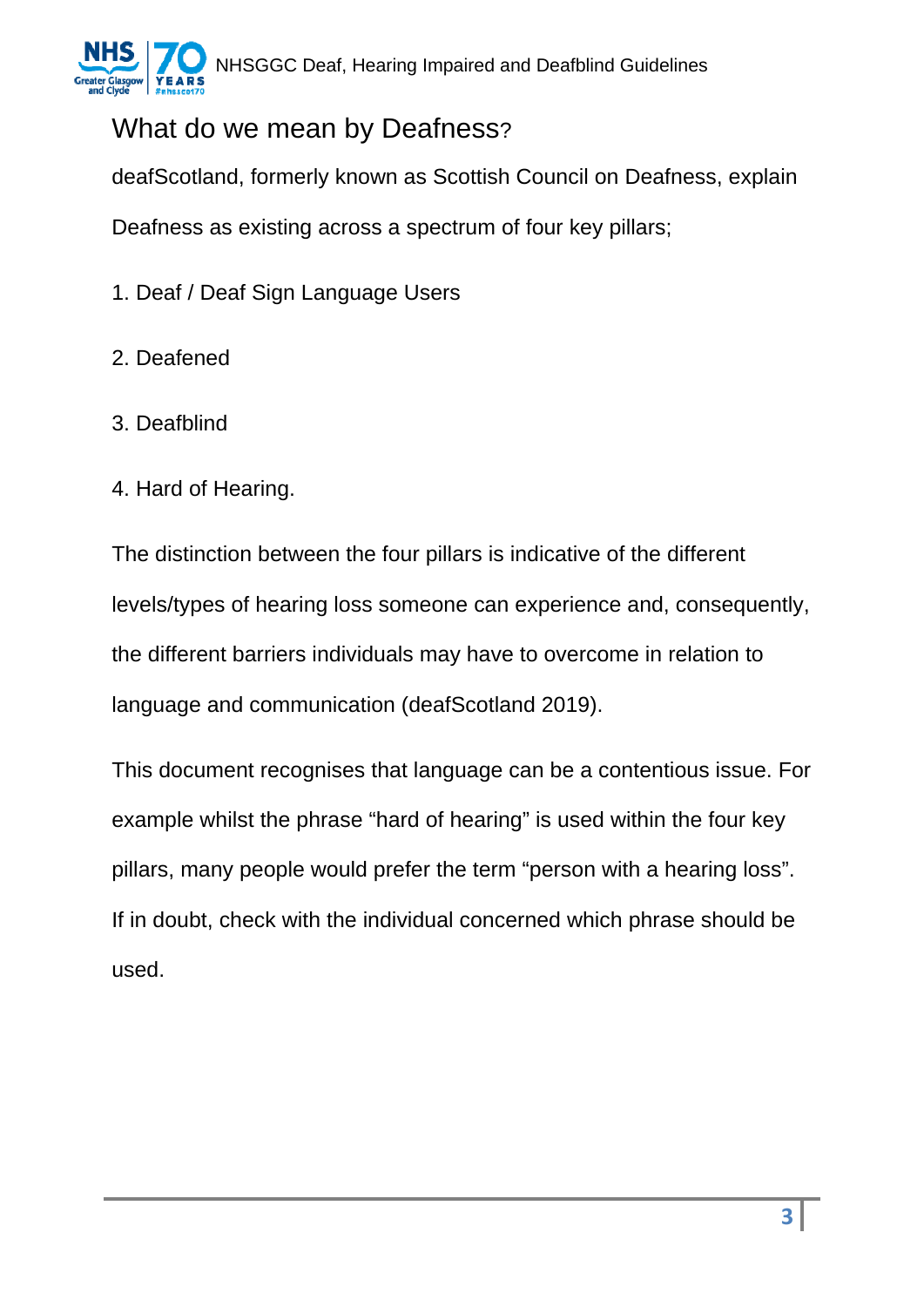

# What do we mean by Deafness?

deafScotland, formerly known as Scottish Council on Deafness, explain Deafness as existing across a spectrum of four key pillars;

- 1. Deaf / Deaf Sign Language Users
- 2. Deafened
- 3. Deafblind
- 4. Hard of Hearing.

The distinction between the four pillars is indicative of the different levels/types of hearing loss someone can experience and, consequently, the different barriers individuals may have to overcome in relation to language and communication (deafScotland 2019).

This document recognises that language can be a contentious issue. For example whilst the phrase "hard of hearing" is used within the four key pillars, many people would prefer the term "person with a hearing loss". If in doubt, check with the individual concerned which phrase should be used.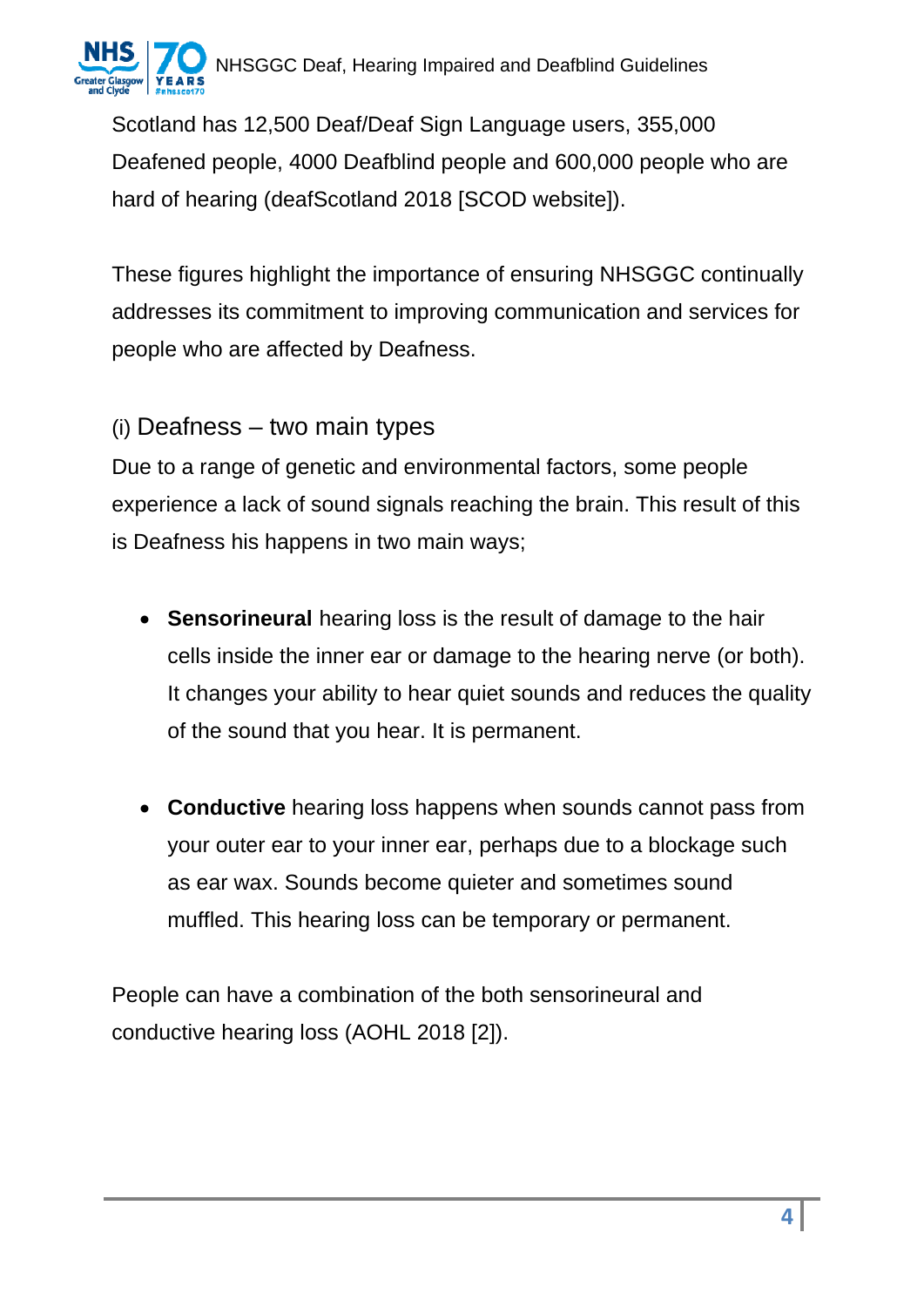

Scotland has 12,500 Deaf/Deaf Sign Language users, 355,000 Deafened people, 4000 Deafblind people and 600,000 people who are hard of hearing (deafScotland 2018 [SCOD website]).

These figures highlight the importance of ensuring NHSGGC continually addresses its commitment to improving communication and services for people who are affected by Deafness.

### (i) Deafness – two main types

Due to a range of genetic and environmental factors, some people experience a lack of sound signals reaching the brain. This result of this is Deafness his happens in two main ways;

- **Sensorineural** hearing loss is the result of damage to the hair cells inside the inner ear or damage to the hearing nerve (or both). It changes your ability to hear quiet sounds and reduces the quality of the sound that you hear. It is permanent.
- **Conductive** hearing loss happens when sounds cannot pass from your outer ear to your inner ear, perhaps due to a blockage such as ear wax. Sounds become quieter and sometimes sound muffled. This hearing loss can be temporary or permanent.

People can have a combination of the both sensorineural and conductive hearing loss (AOHL 2018 [2]).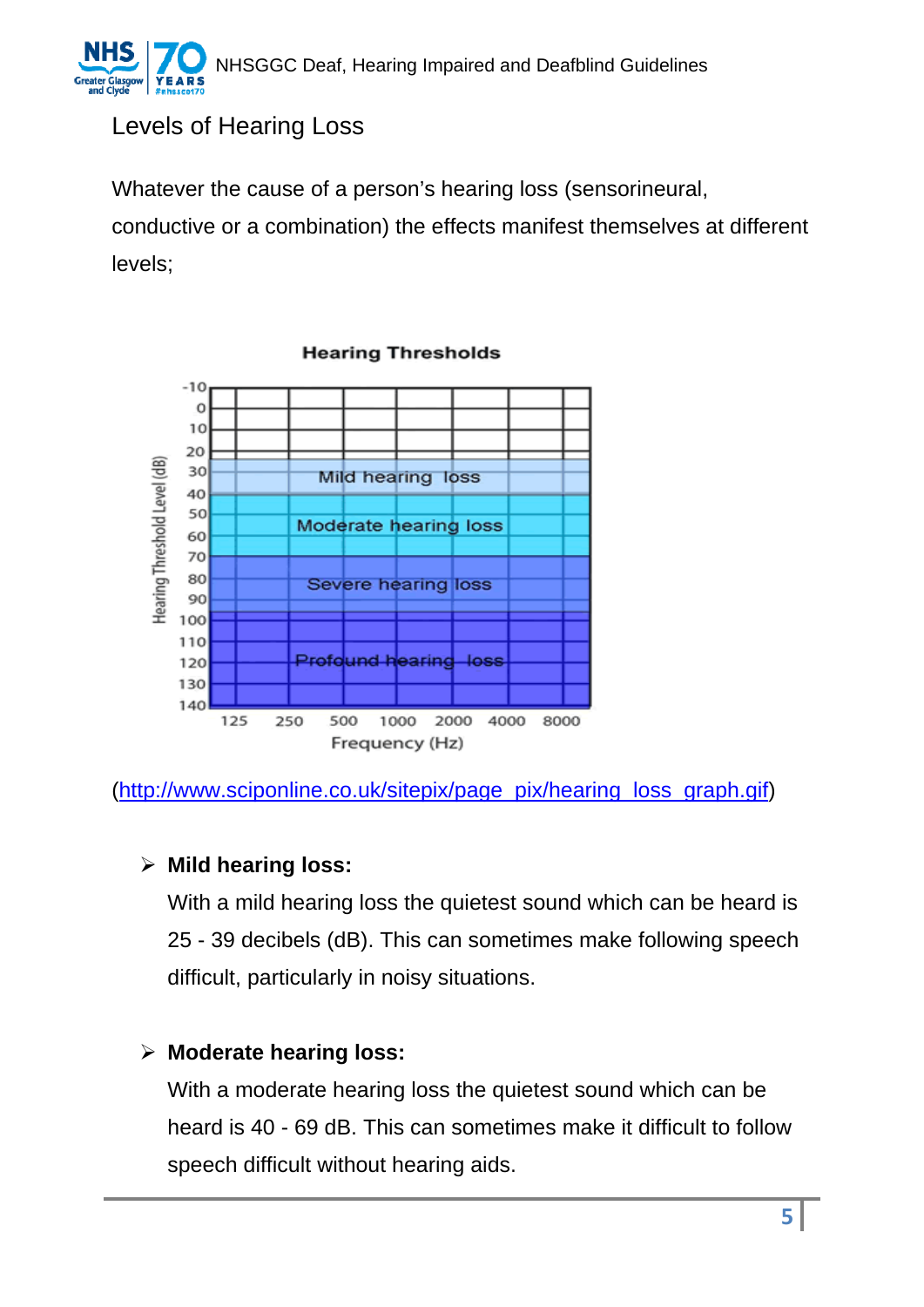

### Levels of Hearing Loss

Whatever the cause of a person's hearing loss (sensorineural,

conductive or a combination) the effects manifest themselves at different levels;



**Hearing Thresholds** 

(http://www.sciponline.co.uk/sitepix/page\_pix/hearing\_loss\_graph.gif)

#### **Mild hearing loss:**

With a mild hearing loss the quietest sound which can be heard is 25 - 39 decibels (dB). This can sometimes make following speech difficult, particularly in noisy situations.

#### **Moderate hearing loss:**

With a moderate hearing loss the quietest sound which can be heard is 40 - 69 dB. This can sometimes make it difficult to follow speech difficult without hearing aids.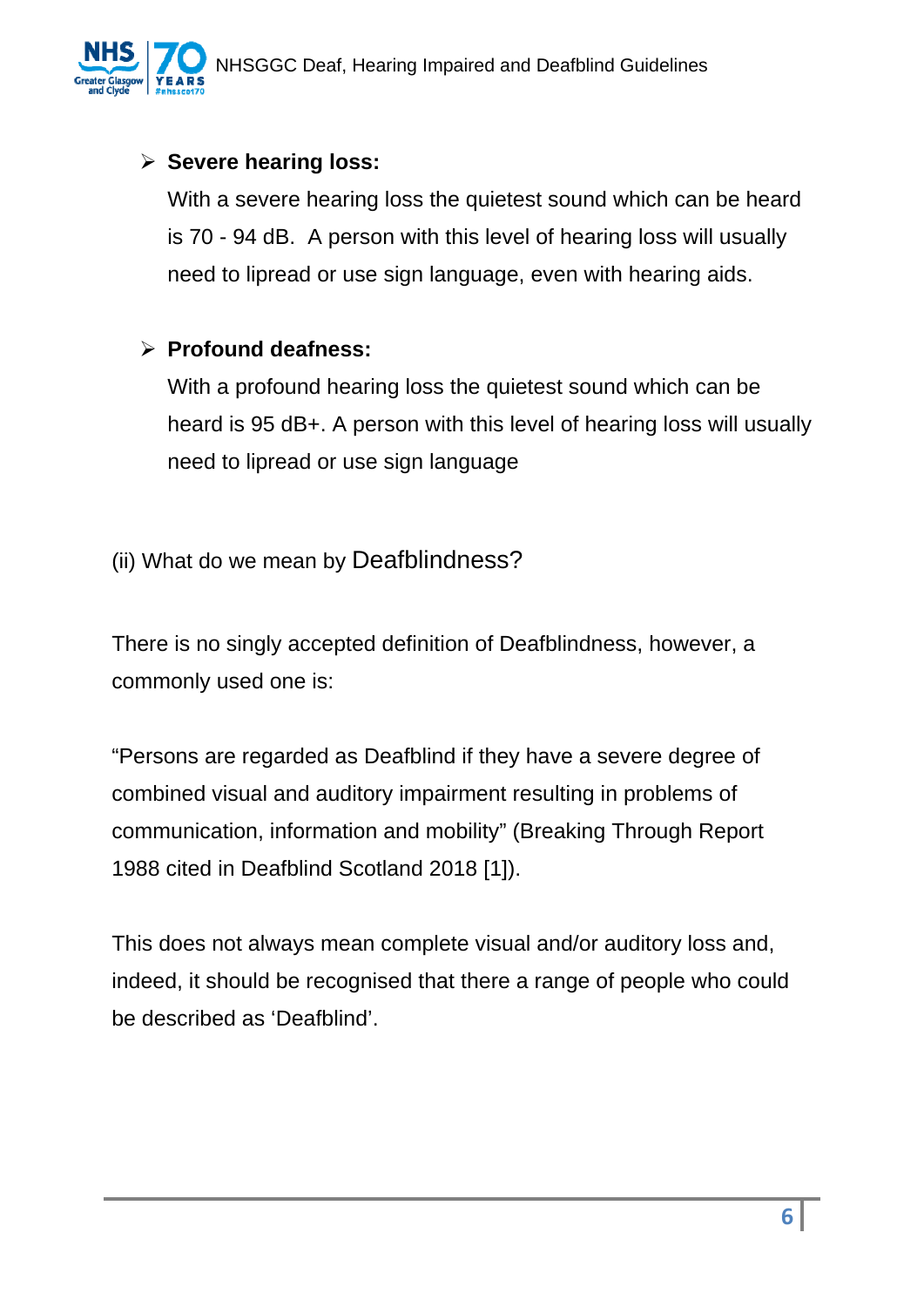#### **Severe hearing loss:**

With a severe hearing loss the quietest sound which can be heard is 70 - 94 dB. A person with this level of hearing loss will usually need to lipread or use sign language, even with hearing aids.

#### **Profound deafness:**

With a profound hearing loss the quietest sound which can be heard is 95 dB+. A person with this level of hearing loss will usually need to lipread or use sign language

(ii) What do we mean by Deafblindness?

There is no singly accepted definition of Deafblindness, however, a commonly used one is:

"Persons are regarded as Deafblind if they have a severe degree of combined visual and auditory impairment resulting in problems of communication, information and mobility" (Breaking Through Report 1988 cited in Deafblind Scotland 2018 [1]).

This does not always mean complete visual and/or auditory loss and, indeed, it should be recognised that there a range of people who could be described as 'Deafblind'.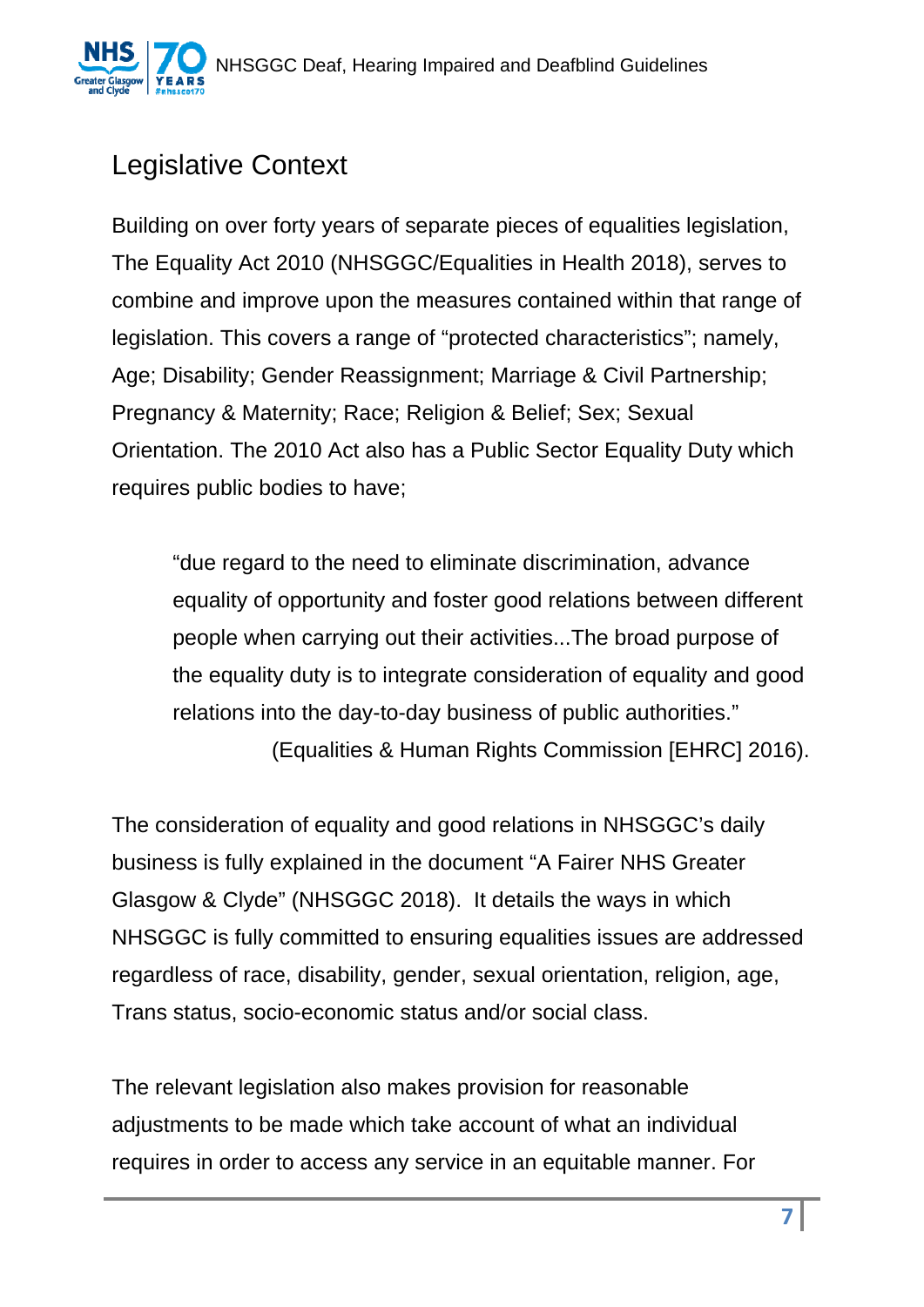# Legislative Context

Building on over forty years of separate pieces of equalities legislation, The Equality Act 2010 (NHSGGC/Equalities in Health 2018), serves to combine and improve upon the measures contained within that range of legislation. This covers a range of "protected characteristics"; namely, Age; Disability; Gender Reassignment; Marriage & Civil Partnership; Pregnancy & Maternity; Race; Religion & Belief; Sex; Sexual Orientation. The 2010 Act also has a Public Sector Equality Duty which requires public bodies to have;

"due regard to the need to eliminate discrimination, advance equality of opportunity and foster good relations between different people when carrying out their activities...The broad purpose of the equality duty is to integrate consideration of equality and good relations into the day-to-day business of public authorities." (Equalities & Human Rights Commission [EHRC] 2016).

The consideration of equality and good relations in NHSGGC's daily business is fully explained in the document "A Fairer NHS Greater Glasgow & Clyde" (NHSGGC 2018). It details the ways in which NHSGGC is fully committed to ensuring equalities issues are addressed regardless of race, disability, gender, sexual orientation, religion, age, Trans status, socio-economic status and/or social class.

The relevant legislation also makes provision for reasonable adjustments to be made which take account of what an individual requires in order to access any service in an equitable manner. For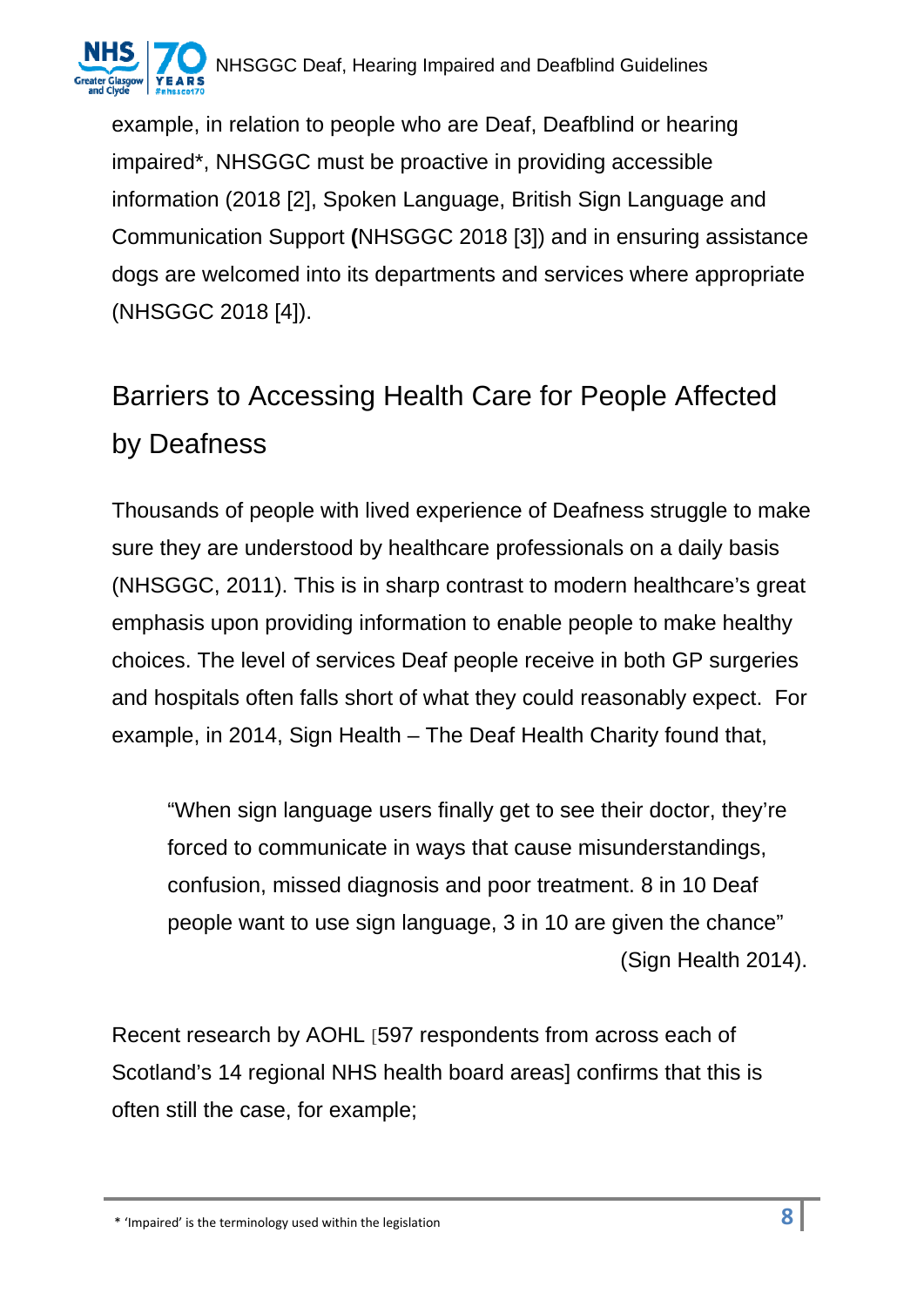

example, in relation to people who are Deaf, Deafblind or hearing impaired\*, NHSGGC must be proactive in providing accessible information (2018 [2], Spoken Language, British Sign Language and Communication Support **(**NHSGGC 2018 [3]) and in ensuring assistance dogs are welcomed into its departments and services where appropriate (NHSGGC 2018 [4]).

# Barriers to Accessing Health Care for People Affected by Deafness

Thousands of people with lived experience of Deafness struggle to make sure they are understood by healthcare professionals on a daily basis (NHSGGC, 2011). This is in sharp contrast to modern healthcare's great emphasis upon providing information to enable people to make healthy choices. The level of services Deaf people receive in both GP surgeries and hospitals often falls short of what they could reasonably expect. For example, in 2014, Sign Health – The Deaf Health Charity found that,

"When sign language users finally get to see their doctor, they're forced to communicate in ways that cause misunderstandings, confusion, missed diagnosis and poor treatment. 8 in 10 Deaf people want to use sign language, 3 in 10 are given the chance" (Sign Health 2014).

Recent research by AOHL [597 respondents from across each of Scotland's 14 regional NHS health board areas] confirms that this is often still the case, for example;

<sup>\*</sup> 'Impaired' is the terminology used within the legislation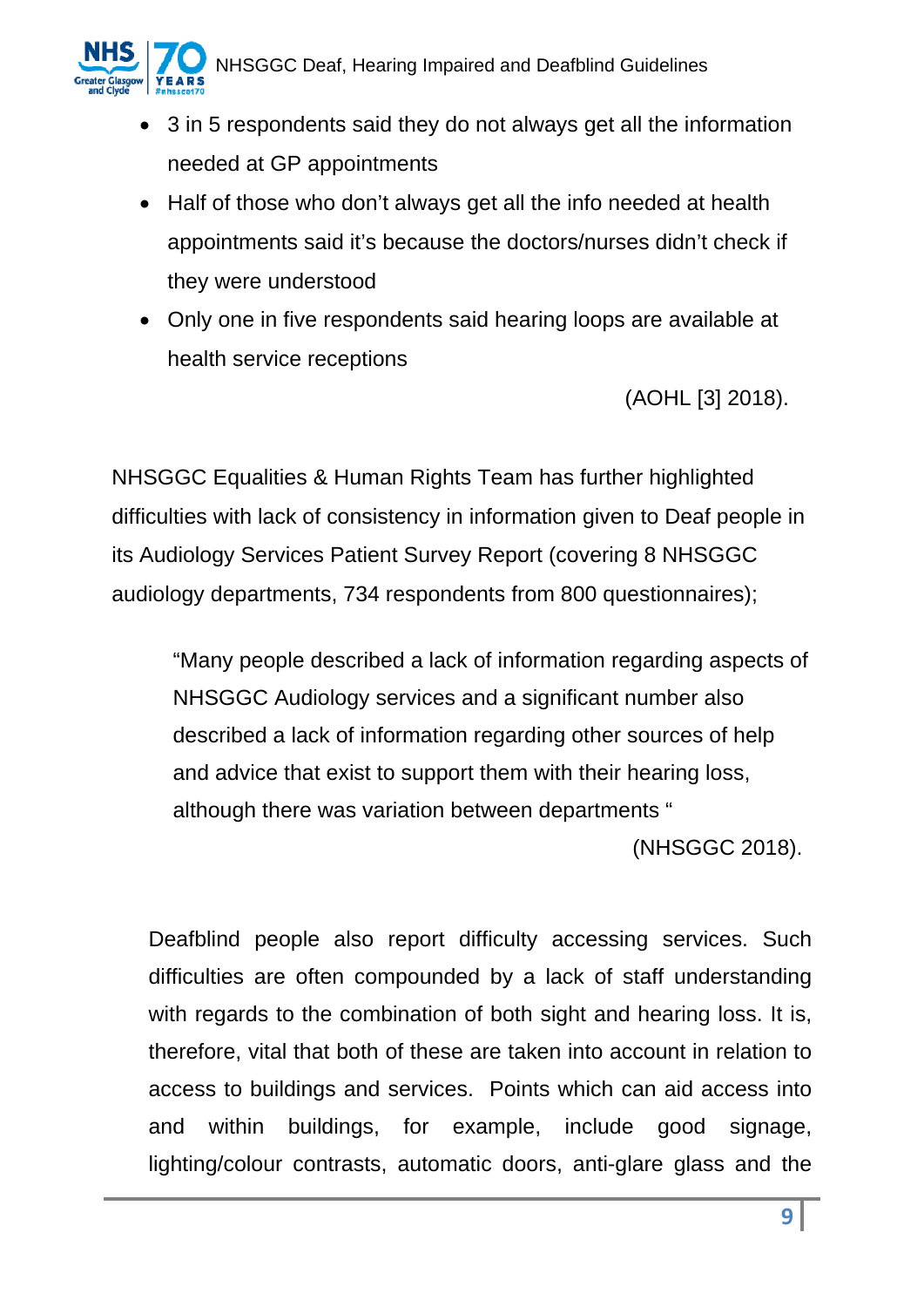- 3 in 5 respondents said they do not always get all the information needed at GP appointments
- Half of those who don't always get all the info needed at health appointments said it's because the doctors/nurses didn't check if they were understood
- Only one in five respondents said hearing loops are available at health service receptions

(AOHL [3] 2018).

NHSGGC Equalities & Human Rights Team has further highlighted difficulties with lack of consistency in information given to Deaf people in its Audiology Services Patient Survey Report (covering 8 NHSGGC audiology departments, 734 respondents from 800 questionnaires);

"Many people described a lack of information regarding aspects of NHSGGC Audiology services and a significant number also described a lack of information regarding other sources of help and advice that exist to support them with their hearing loss, although there was variation between departments "

(NHSGGC 2018).

Deafblind people also report difficulty accessing services. Such difficulties are often compounded by a lack of staff understanding with regards to the combination of both sight and hearing loss. It is, therefore, vital that both of these are taken into account in relation to access to buildings and services. Points which can aid access into and within buildings, for example, include good signage, lighting/colour contrasts, automatic doors, anti-glare glass and the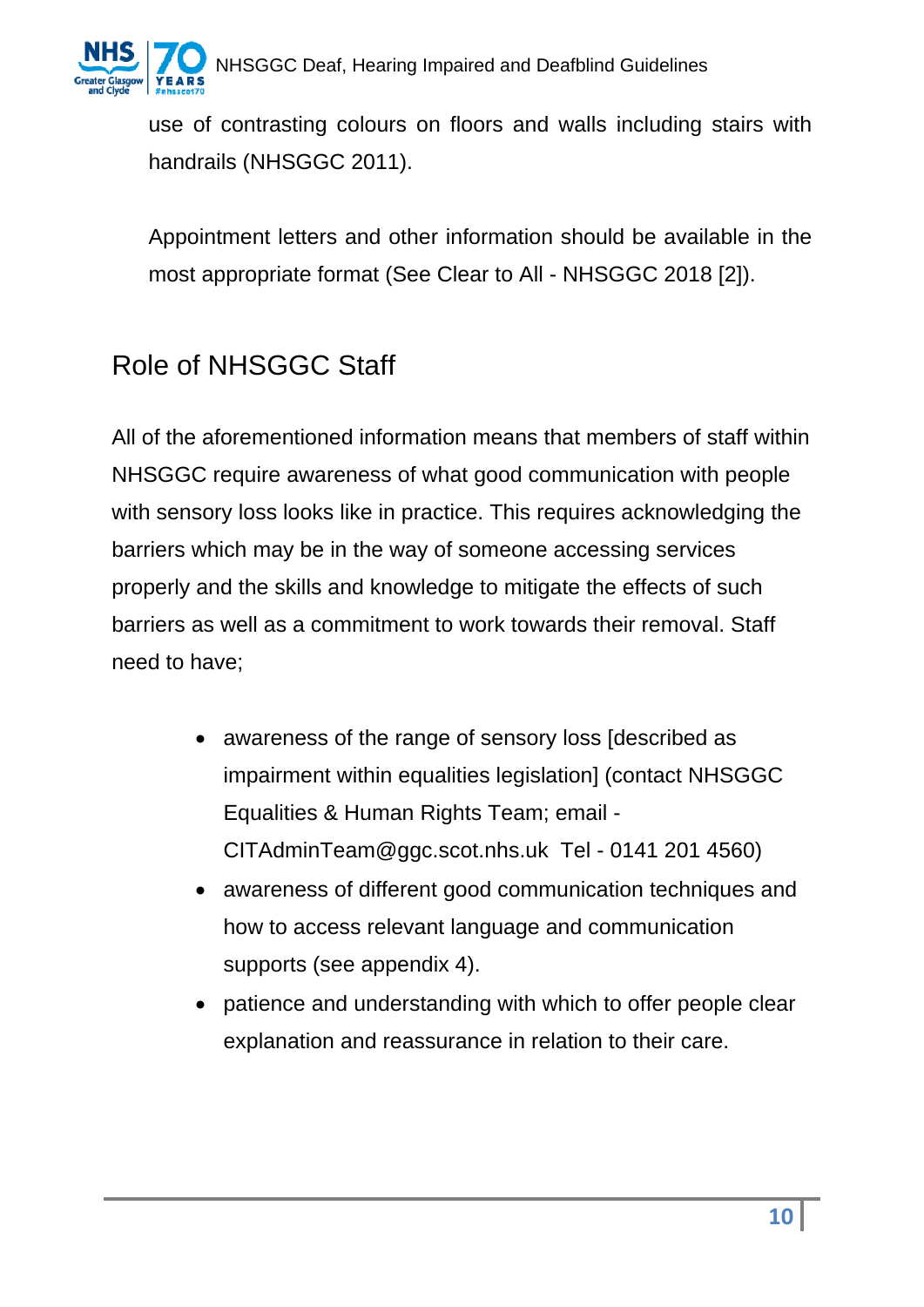

use of contrasting colours on floors and walls including stairs with handrails (NHSGGC 2011).

Appointment letters and other information should be available in the most appropriate format (See Clear to All - NHSGGC 2018 [2]).

# Role of NHSGGC Staff

All of the aforementioned information means that members of staff within NHSGGC require awareness of what good communication with people with sensory loss looks like in practice. This requires acknowledging the barriers which may be in the way of someone accessing services properly and the skills and knowledge to mitigate the effects of such barriers as well as a commitment to work towards their removal. Staff need to have;

- awareness of the range of sensory loss [described as impairment within equalities legislation] (contact NHSGGC Equalities & Human Rights Team; email - CITAdminTeam@ggc.scot.nhs.uk Tel - 0141 201 4560)
- awareness of different good communication techniques and how to access relevant language and communication supports (see appendix 4).
- patience and understanding with which to offer people clear explanation and reassurance in relation to their care.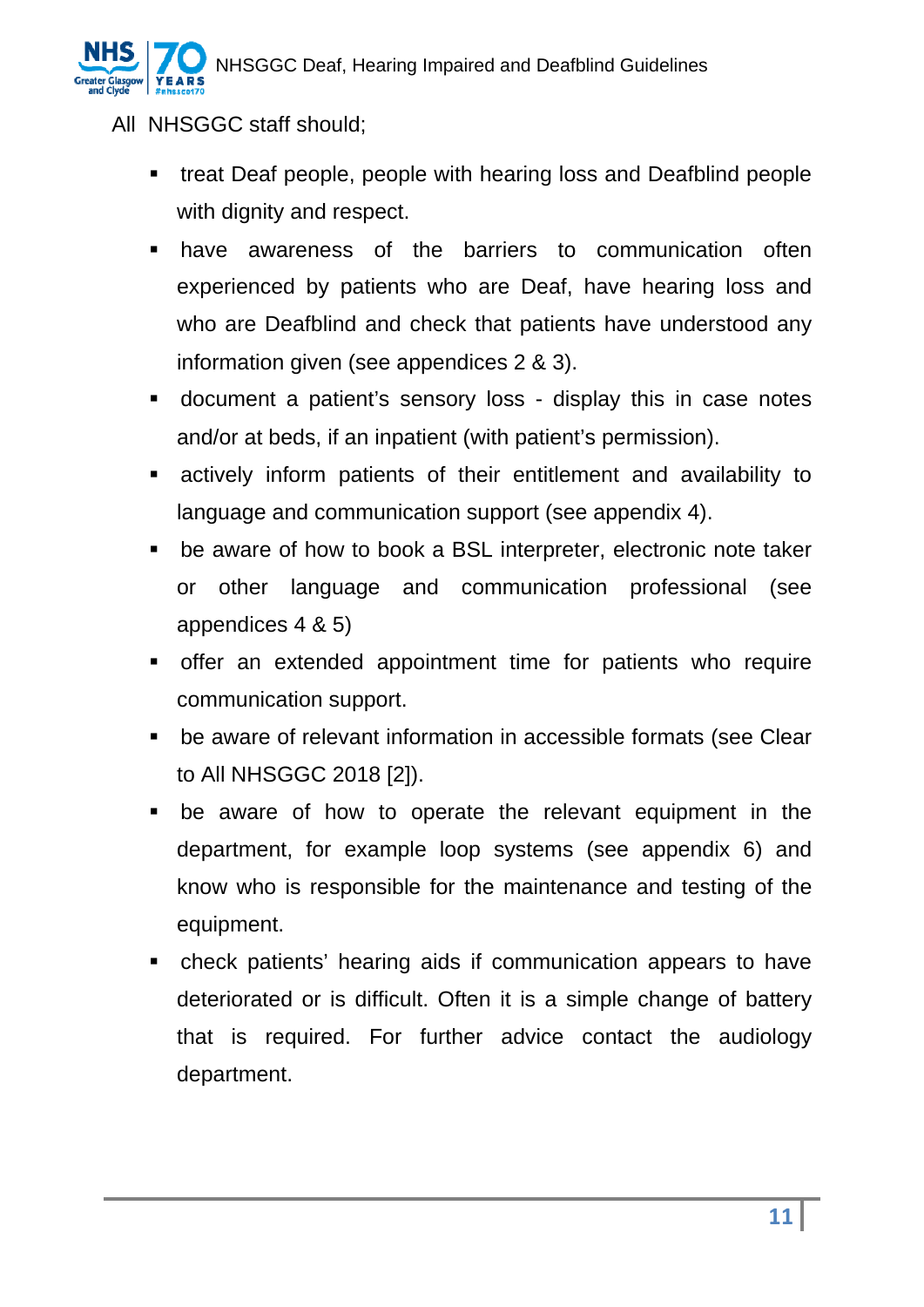All NHSGGC staff should;

**YEARS** 

- treat Deaf people, people with hearing loss and Deafblind people with dignity and respect.
- have awareness of the barriers to communication often experienced by patients who are Deaf, have hearing loss and who are Deafblind and check that patients have understood any information given (see appendices 2 & 3).
- document a patient's sensory loss display this in case notes and/or at beds, if an inpatient (with patient's permission).
- actively inform patients of their entitlement and availability to language and communication support (see appendix 4).
- be aware of how to book a BSL interpreter, electronic note taker or other language and communication professional (see appendices 4 & 5)
- offer an extended appointment time for patients who require communication support.
- be aware of relevant information in accessible formats (see Clear to All NHSGGC 2018 [2]).
- be aware of how to operate the relevant equipment in the department, for example loop systems (see appendix 6) and know who is responsible for the maintenance and testing of the equipment.
- check patients' hearing aids if communication appears to have deteriorated or is difficult. Often it is a simple change of battery that is required. For further advice contact the audiology department.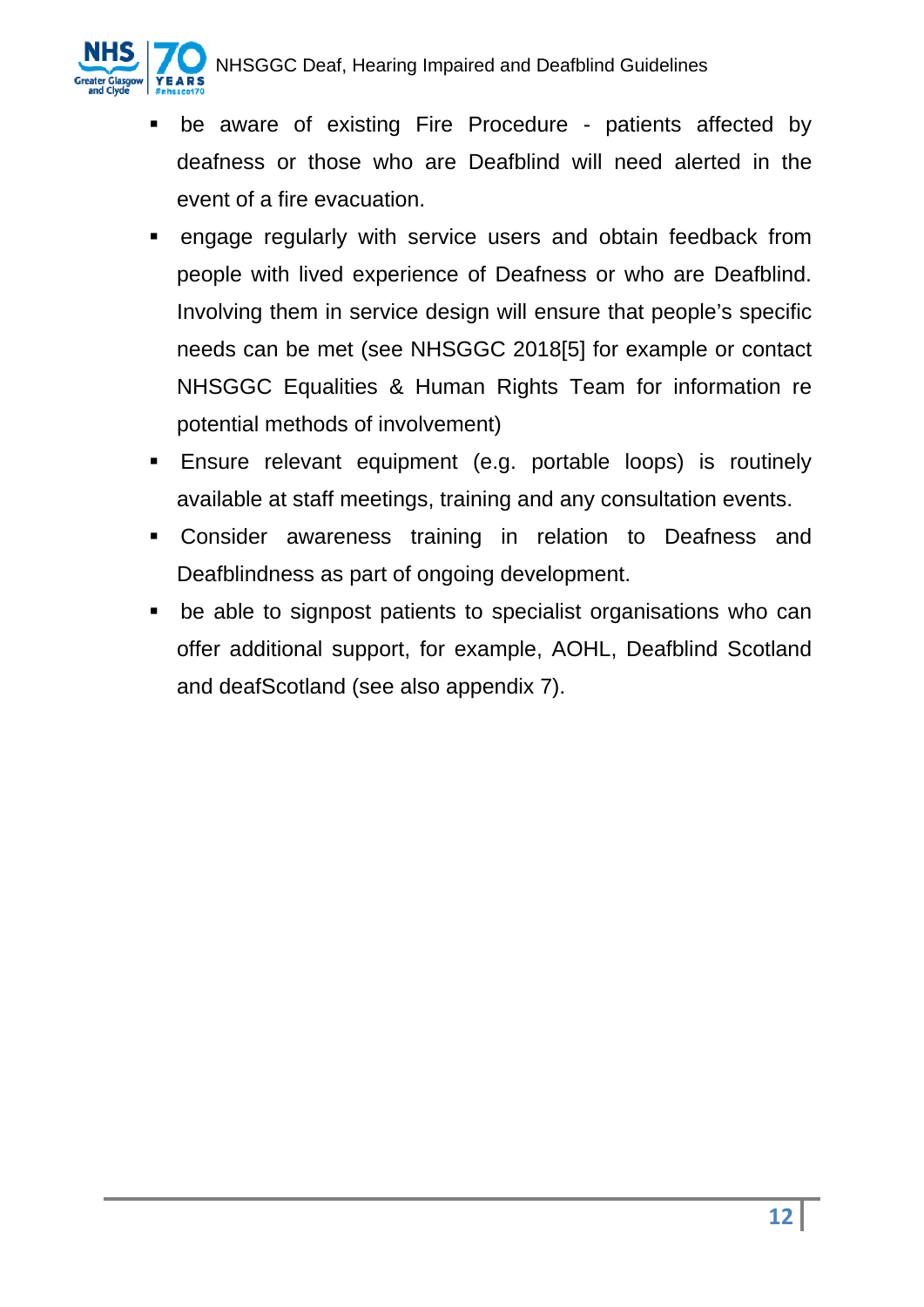

- be aware of existing Fire Procedure patients affected by deafness or those who are Deafblind will need alerted in the event of a fire evacuation.
- engage regularly with service users and obtain feedback from people with lived experience of Deafness or who are Deafblind. Involving them in service design will ensure that people's specific needs can be met (see NHSGGC 2018[5] for example or contact NHSGGC Equalities & Human Rights Team for information re potential methods of involvement)
- **Ensure relevant equipment (e.g. portable loops) is routinely** available at staff meetings, training and any consultation events.
- Consider awareness training in relation to Deafness and Deafblindness as part of ongoing development.
- be able to signpost patients to specialist organisations who can offer additional support, for example, AOHL, Deafblind Scotland and deafScotland (see also appendix 7).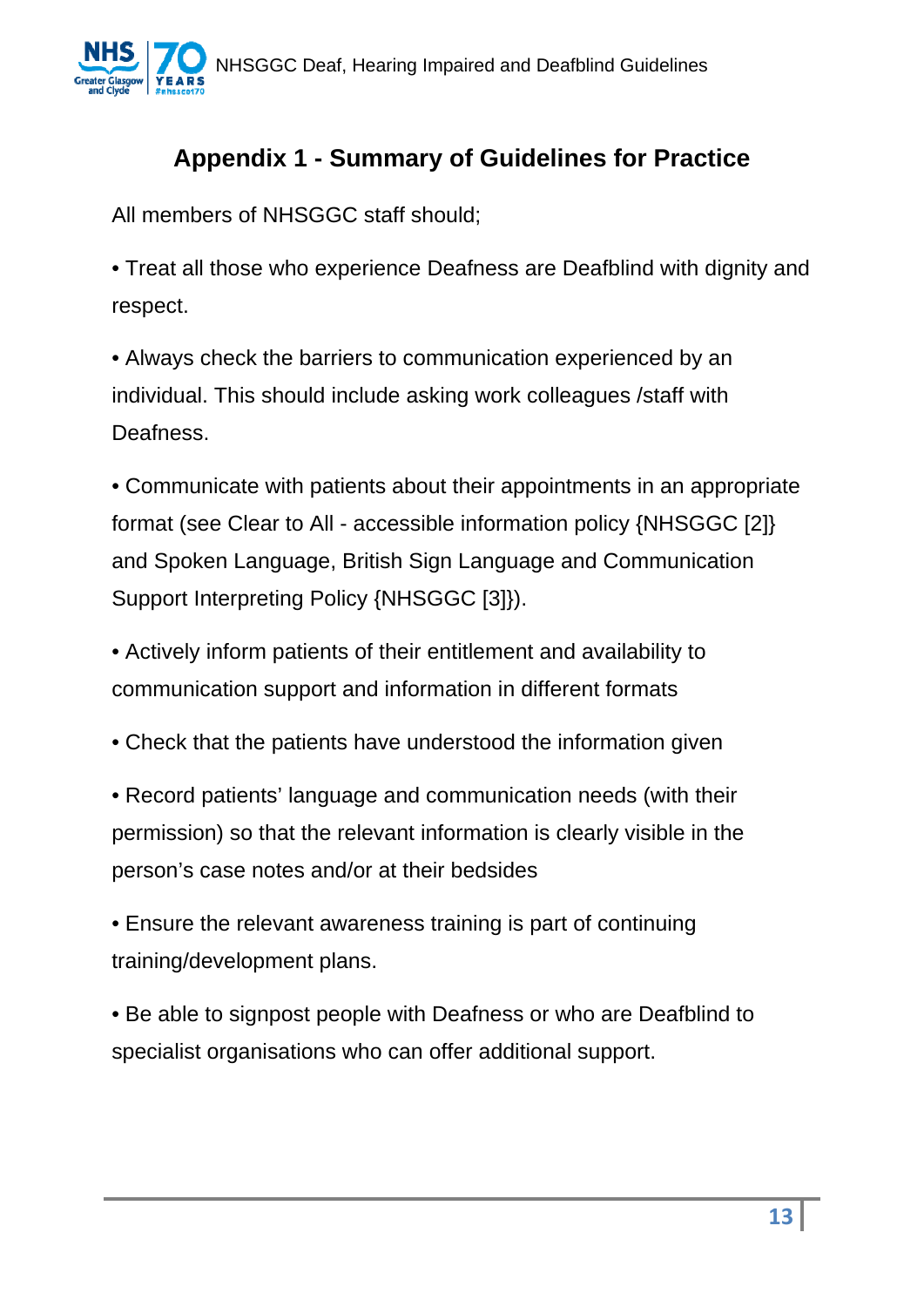

## **Appendix 1 - Summary of Guidelines for Practice**

All members of NHSGGC staff should;

• Treat all those who experience Deafness are Deafblind with dignity and respect.

• Always check the barriers to communication experienced by an individual. This should include asking work colleagues /staff with Deafness.

• Communicate with patients about their appointments in an appropriate format (see Clear to All - accessible information policy {NHSGGC [2]} and Spoken Language, British Sign Language and Communication Support Interpreting Policy {NHSGGC [3]}).

• Actively inform patients of their entitlement and availability to communication support and information in different formats

• Check that the patients have understood the information given

• Record patients' language and communication needs (with their permission) so that the relevant information is clearly visible in the person's case notes and/or at their bedsides

• Ensure the relevant awareness training is part of continuing training/development plans.

• Be able to signpost people with Deafness or who are Deafblind to specialist organisations who can offer additional support.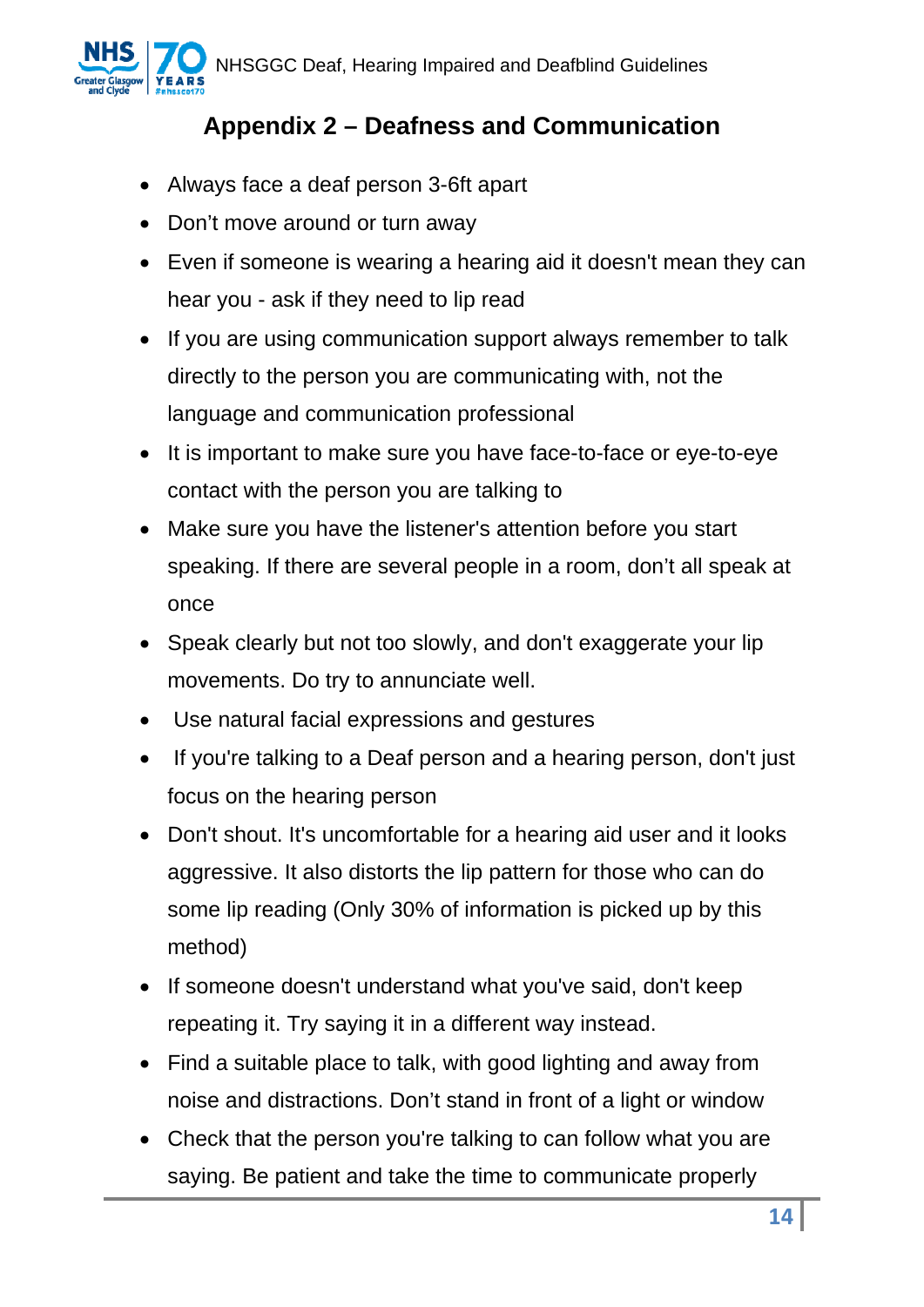

### **Appendix 2 – Deafness and Communication**

- Always face a deaf person 3-6ft apart
- Don't move around or turn away
- Even if someone is wearing a hearing aid it doesn't mean they can hear you - ask if they need to lip read
- If you are using communication support always remember to talk directly to the person you are communicating with, not the language and communication professional
- It is important to make sure you have face-to-face or eye-to-eye contact with the person you are talking to
- Make sure you have the listener's attention before you start speaking. If there are several people in a room, don't all speak at once
- Speak clearly but not too slowly, and don't exaggerate your lip movements. Do try to annunciate well.
- Use natural facial expressions and gestures
- If you're talking to a Deaf person and a hearing person, don't just focus on the hearing person
- Don't shout. It's uncomfortable for a hearing aid user and it looks aggressive. It also distorts the lip pattern for those who can do some lip reading (Only 30% of information is picked up by this method)
- If someone doesn't understand what you've said, don't keep repeating it. Try saying it in a different way instead.
- Find a suitable place to talk, with good lighting and away from noise and distractions. Don't stand in front of a light or window
- Check that the person you're talking to can follow what you are saying. Be patient and take the time to communicate properly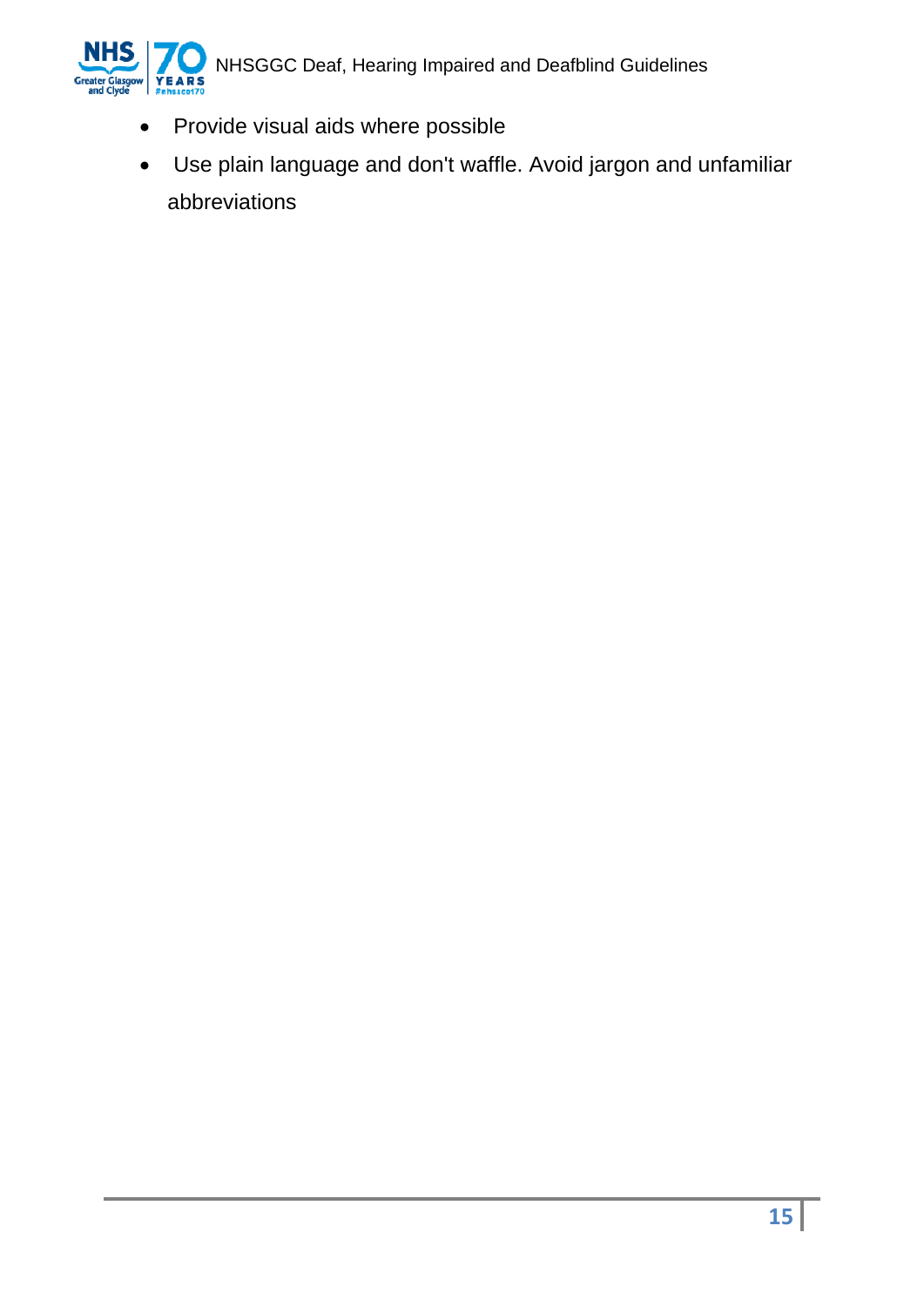- Provide visual aids where possible
- Use plain language and don't waffle. Avoid jargon and unfamiliar abbreviations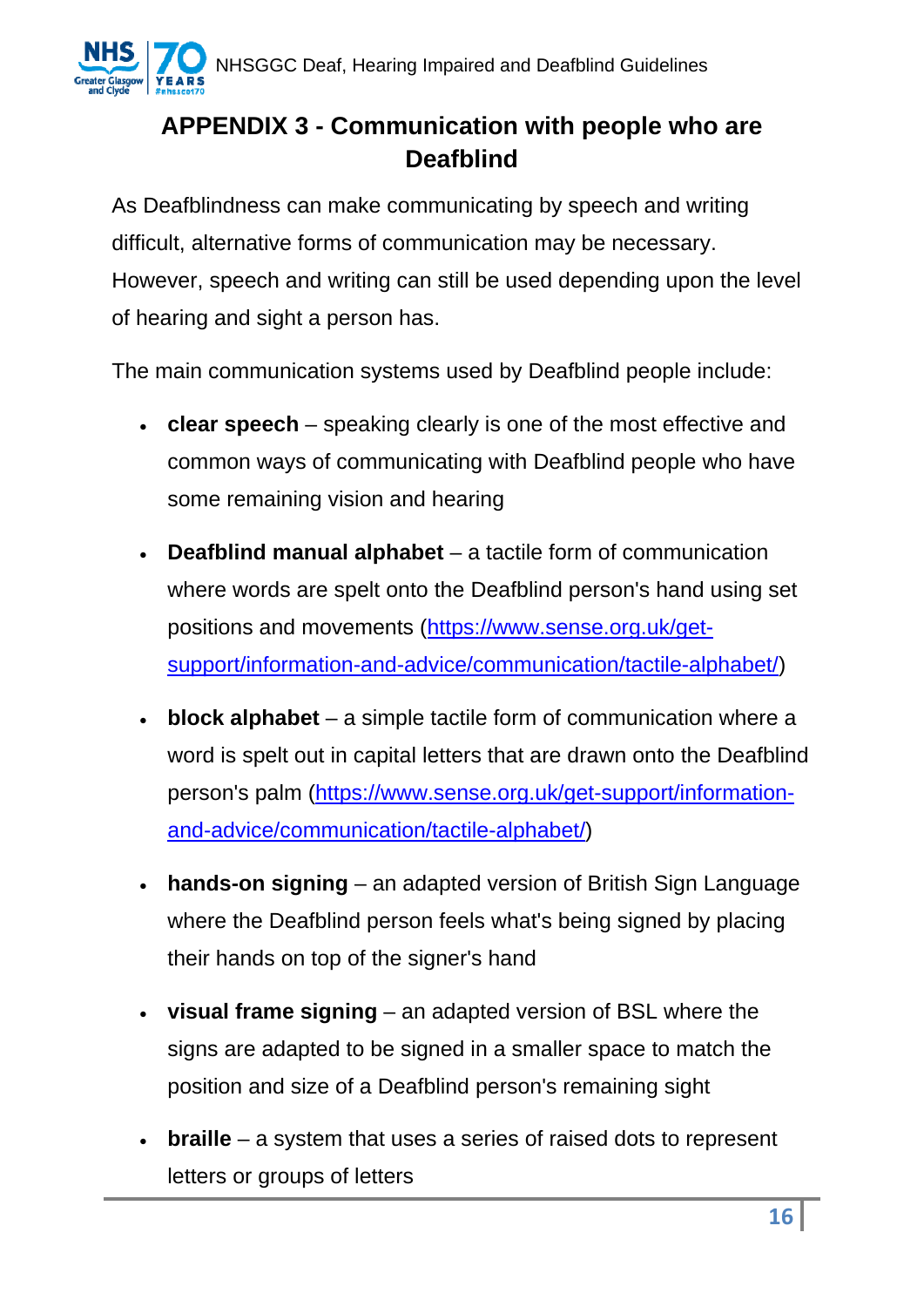

### **APPENDIX 3 - Communication with people who are Deafblind**

As Deafblindness can make communicating by speech and writing difficult, alternative forms of communication may be necessary. However, speech and writing can still be used depending upon the level of hearing and sight a person has.

The main communication systems used by Deafblind people include:

- **clear speech** speaking clearly is one of the most effective and common ways of communicating with Deafblind people who have some remaining vision and hearing
- **Deafblind manual alphabet** a tactile form of communication where words are spelt onto the Deafblind person's hand using set positions and movements (https://www.sense.org.uk/getsupport/information-and-advice/communication/tactile-alphabet/)
- **block alphabet** a simple tactile form of communication where a word is spelt out in capital letters that are drawn onto the Deafblind person's palm (https://www.sense.org.uk/get-support/informationand-advice/communication/tactile-alphabet/)
- **hands-on signing** an adapted version of British Sign Language where the Deafblind person feels what's being signed by placing their hands on top of the signer's hand
- **visual frame signing** an adapted version of BSL where the signs are adapted to be signed in a smaller space to match the position and size of a Deafblind person's remaining sight
- **braille** a system that uses a series of raised dots to represent letters or groups of letters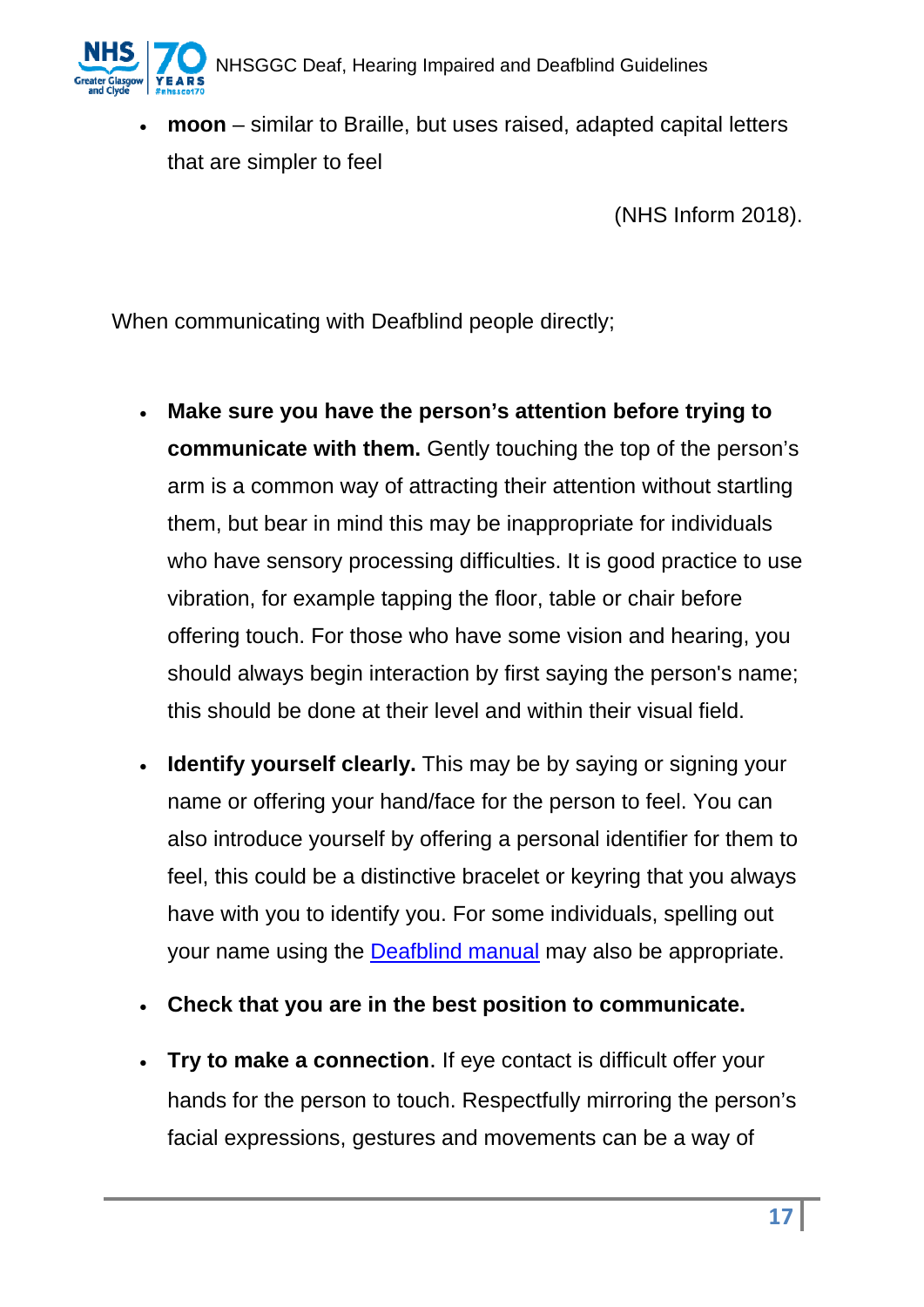

 **moon** – similar to Braille, but uses raised, adapted capital letters that are simpler to feel

(NHS Inform 2018).

When communicating with Deafblind people directly;

- **Make sure you have the person's attention before trying to communicate with them.** Gently touching the top of the person's arm is a common way of attracting their attention without startling them, but bear in mind this may be inappropriate for individuals who have sensory processing difficulties. It is good practice to use vibration, for example tapping the floor, table or chair before offering touch. For those who have some vision and hearing, you should always begin interaction by first saying the person's name; this should be done at their level and within their visual field.
- **Identify yourself clearly.** This may be by saying or signing your name or offering your hand/face for the person to feel. You can also introduce yourself by offering a personal identifier for them to feel, this could be a distinctive bracelet or keyring that you always have with you to identify you. For some individuals, spelling out your name using the Deafblind manual may also be appropriate.
- **Check that you are in the best position to communicate.**
- **Try to make a connection**. If eye contact is difficult offer your hands for the person to touch. Respectfully mirroring the person's facial expressions, gestures and movements can be a way of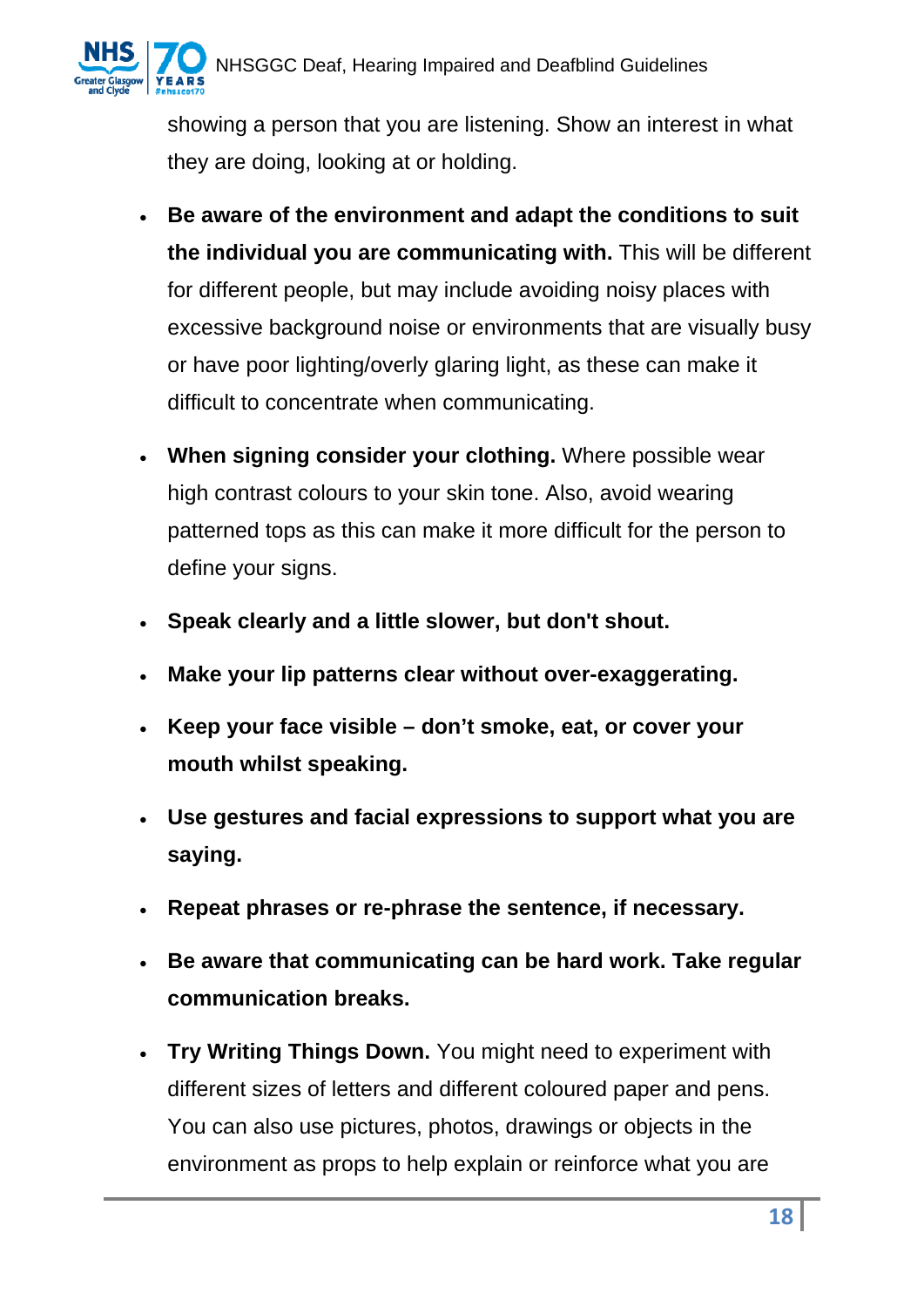showing a person that you are listening. Show an interest in what they are doing, looking at or holding.

- **Be aware of the environment and adapt the conditions to suit the individual you are communicating with.** This will be different for different people, but may include avoiding noisy places with excessive background noise or environments that are visually busy or have poor lighting/overly glaring light, as these can make it difficult to concentrate when communicating.
- **When signing consider your clothing.** Where possible wear high contrast colours to your skin tone. Also, avoid wearing patterned tops as this can make it more difficult for the person to define your signs.
- **Speak clearly and a little slower, but don't shout.**
- **Make your lip patterns clear without over-exaggerating.**
- **Keep your face visible don't smoke, eat, or cover your mouth whilst speaking.**
- **Use gestures and facial expressions to support what you are saying.**
- **Repeat phrases or re-phrase the sentence, if necessary.**
- **Be aware that communicating can be hard work. Take regular communication breaks.**
- **Try Writing Things Down.** You might need to experiment with different sizes of letters and different coloured paper and pens. You can also use pictures, photos, drawings or objects in the environment as props to help explain or reinforce what you are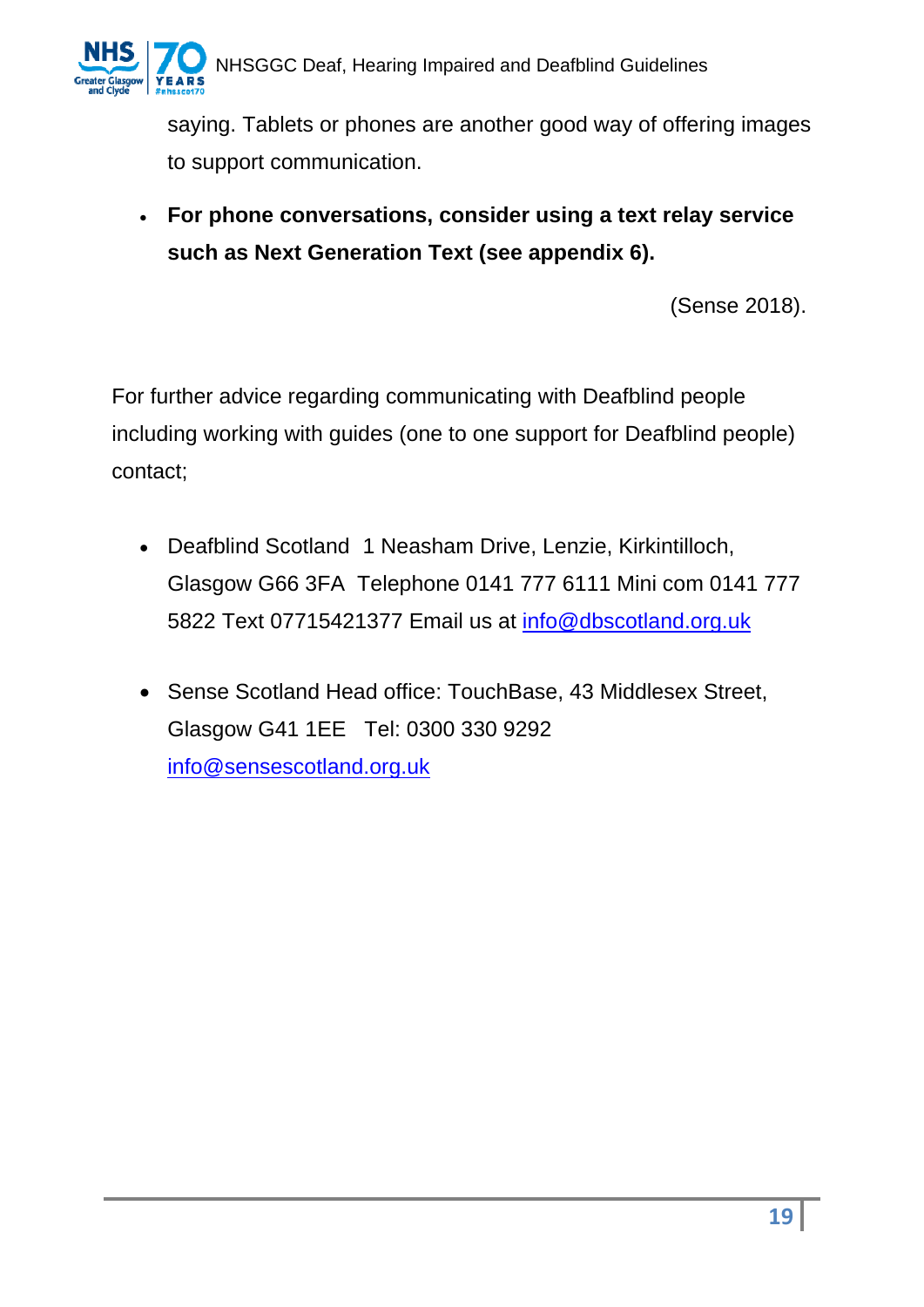

saying. Tablets or phones are another good way of offering images to support communication.

 **For phone conversations, consider using a text relay service such as Next Generation Text (see appendix 6).** 

(Sense 2018).

For further advice regarding communicating with Deafblind people including working with guides (one to one support for Deafblind people) contact;

- Deafblind Scotland 1 Neasham Drive, Lenzie, Kirkintilloch, Glasgow G66 3FA Telephone 0141 777 6111 Mini com 0141 777 5822 Text 07715421377 Email us at info@dbscotland.org.uk
- Sense Scotland Head office: TouchBase, 43 Middlesex Street, Glasgow G41 1EE Tel: 0300 330 9292 info@sensescotland.org.uk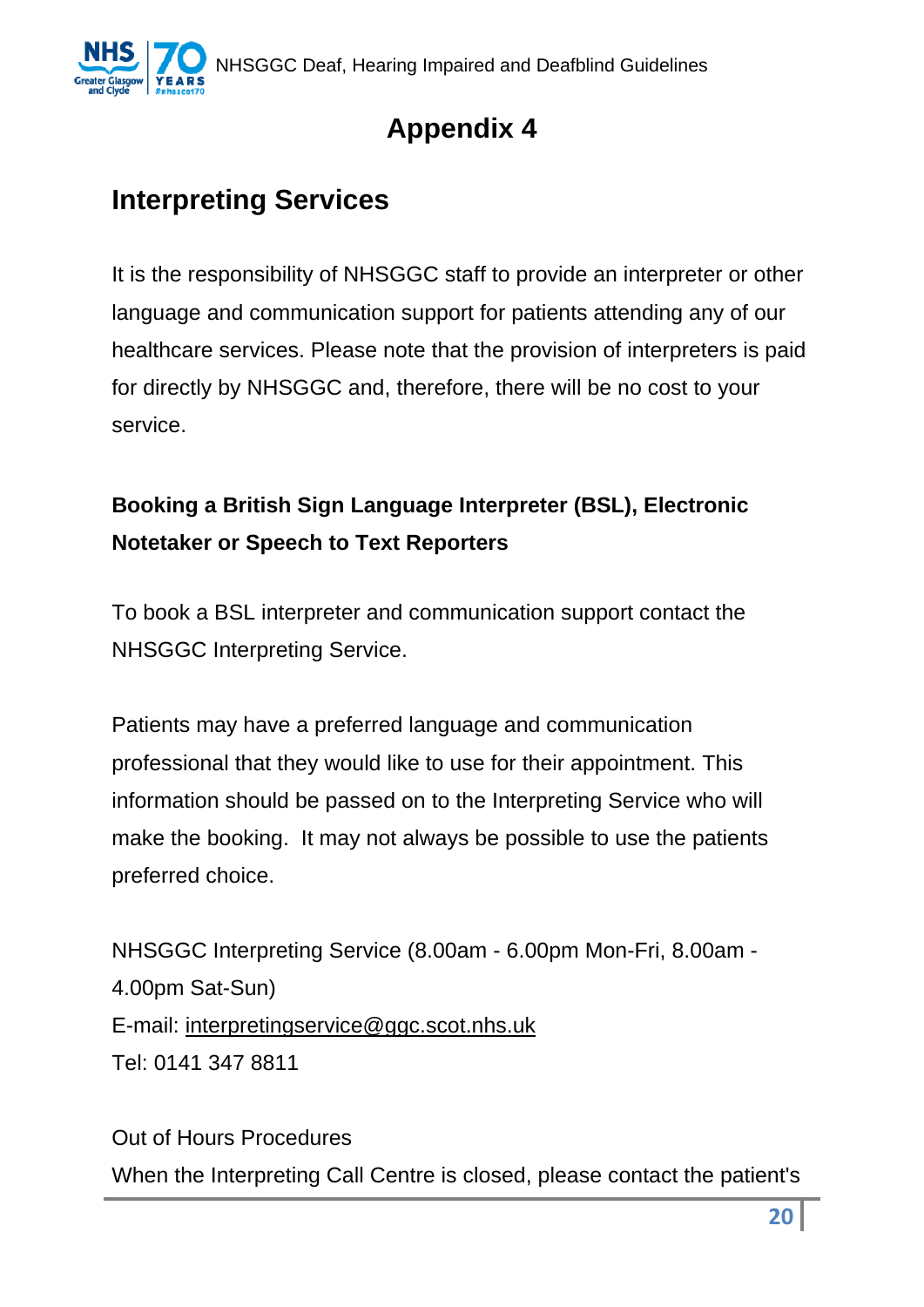

# **Appendix 4**

# **Interpreting Services**

It is the responsibility of NHSGGC staff to provide an interpreter or other language and communication support for patients attending any of our healthcare services. Please note that the provision of interpreters is paid for directly by NHSGGC and, therefore, there will be no cost to your service.

# **Booking a British Sign Language Interpreter (BSL), Electronic Notetaker or Speech to Text Reporters**

To book a BSL interpreter and communication support contact the NHSGGC Interpreting Service.

Patients may have a preferred language and communication professional that they would like to use for their appointment. This information should be passed on to the Interpreting Service who will make the booking. It may not always be possible to use the patients preferred choice.

NHSGGC Interpreting Service (8.00am - 6.00pm Mon-Fri, 8.00am - 4.00pm Sat-Sun) E-mail: interpretingservice@ggc.scot.nhs.uk Tel: 0141 347 8811

Out of Hours Procedures When the Interpreting Call Centre is closed, please contact the patient's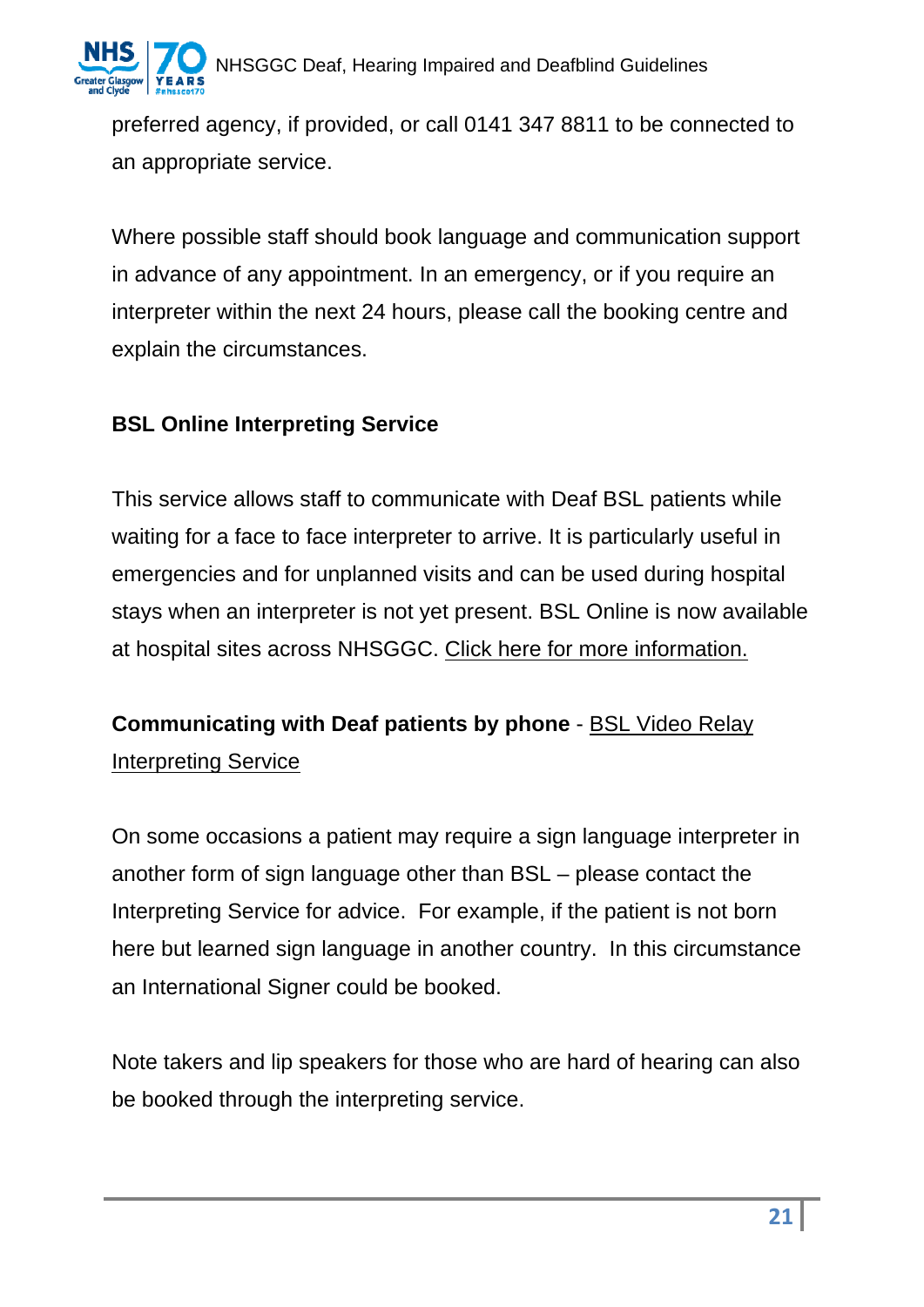

preferred agency, if provided, or call 0141 347 8811 to be connected to an appropriate service.

Where possible staff should book language and communication support in advance of any appointment. In an emergency, or if you require an interpreter within the next 24 hours, please call the booking centre and explain the circumstances.

#### **BSL Online Interpreting Service**

This service allows staff to communicate with Deaf BSL patients while waiting for a face to face interpreter to arrive. It is particularly useful in emergencies and for unplanned visits and can be used during hospital stays when an interpreter is not yet present. BSL Online is now available at hospital sites across NHSGGC. Click here for more information.

### **Communicating with Deaf patients by phone** - BSL Video Relay Interpreting Service

On some occasions a patient may require a sign language interpreter in another form of sign language other than BSL – please contact the Interpreting Service for advice. For example, if the patient is not born here but learned sign language in another country. In this circumstance an International Signer could be booked.

Note takers and lip speakers for those who are hard of hearing can also be booked through the interpreting service.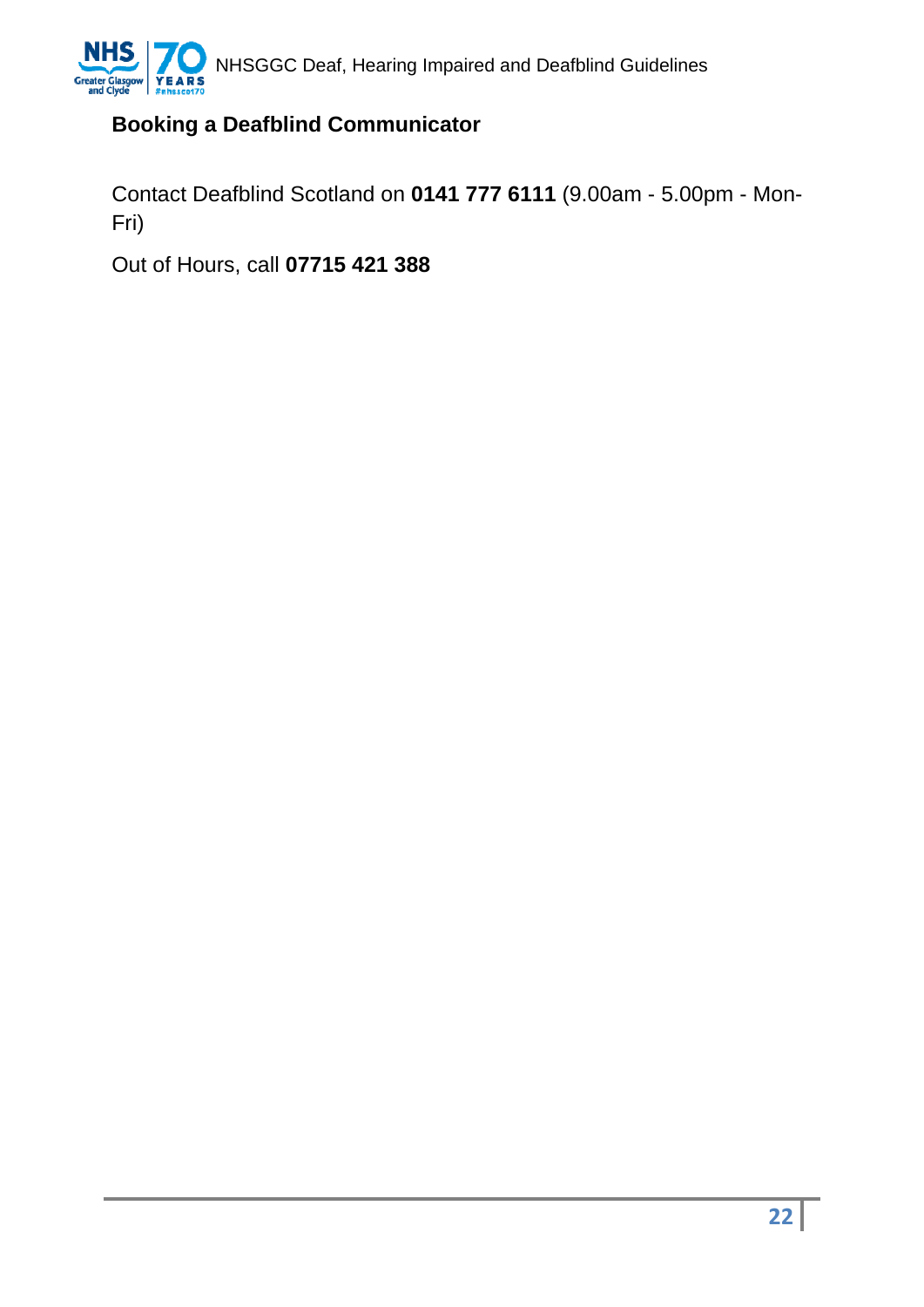

### **Booking a Deafblind Communicator**

Contact Deafblind Scotland on **0141 777 6111** (9.00am - 5.00pm - Mon-Fri)

Out of Hours, call **07715 421 388**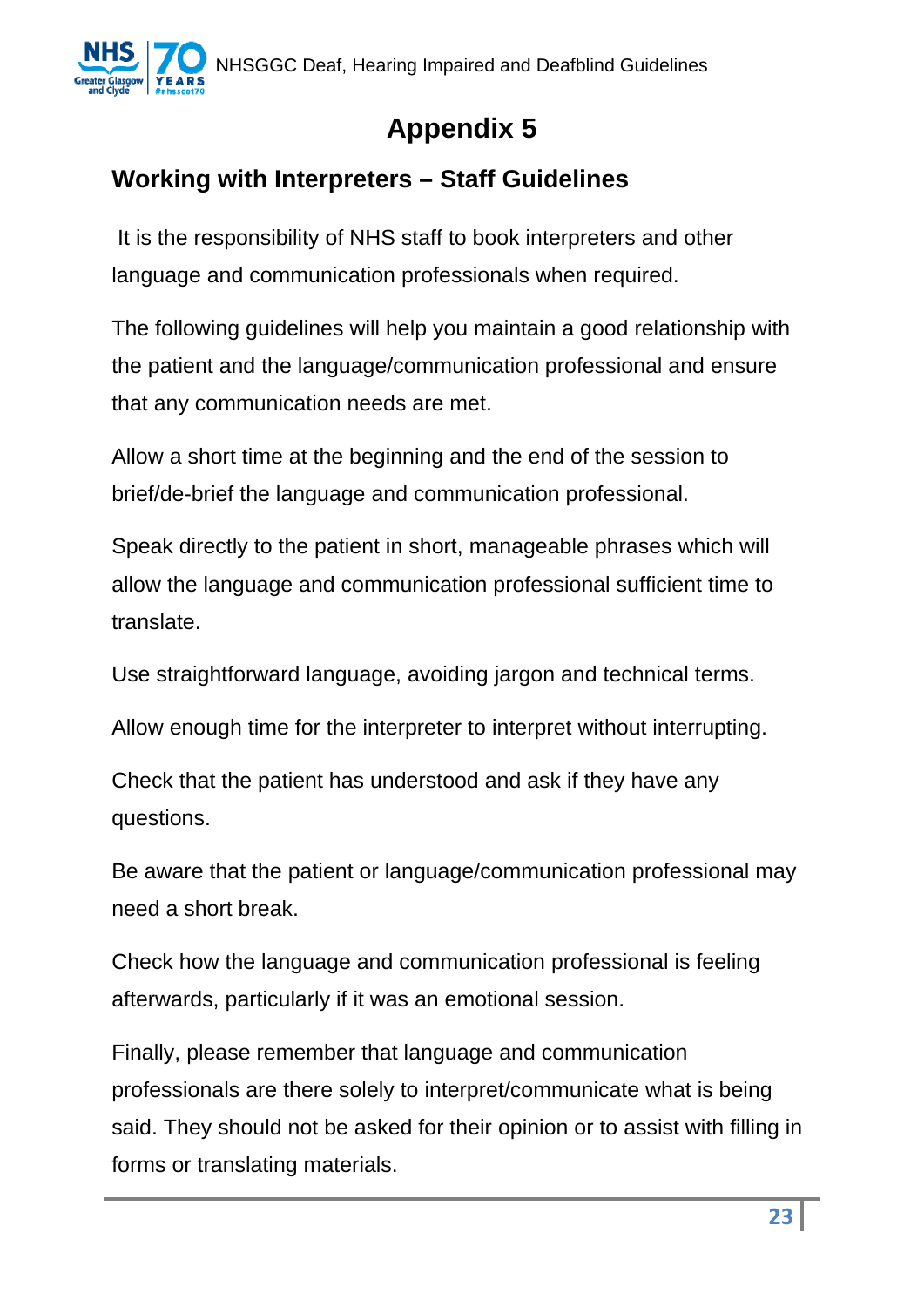

# **Appendix 5**

# **Working with Interpreters – Staff Guidelines**

 It is the responsibility of NHS staff to book interpreters and other language and communication professionals when required.

The following guidelines will help you maintain a good relationship with the patient and the language/communication professional and ensure that any communication needs are met.

Allow a short time at the beginning and the end of the session to brief/de-brief the language and communication professional.

Speak directly to the patient in short, manageable phrases which will allow the language and communication professional sufficient time to translate.

Use straightforward language, avoiding jargon and technical terms.

Allow enough time for the interpreter to interpret without interrupting.

Check that the patient has understood and ask if they have any questions.

Be aware that the patient or language/communication professional may need a short break.

Check how the language and communication professional is feeling afterwards, particularly if it was an emotional session.

Finally, please remember that language and communication professionals are there solely to interpret/communicate what is being said. They should not be asked for their opinion or to assist with filling in forms or translating materials.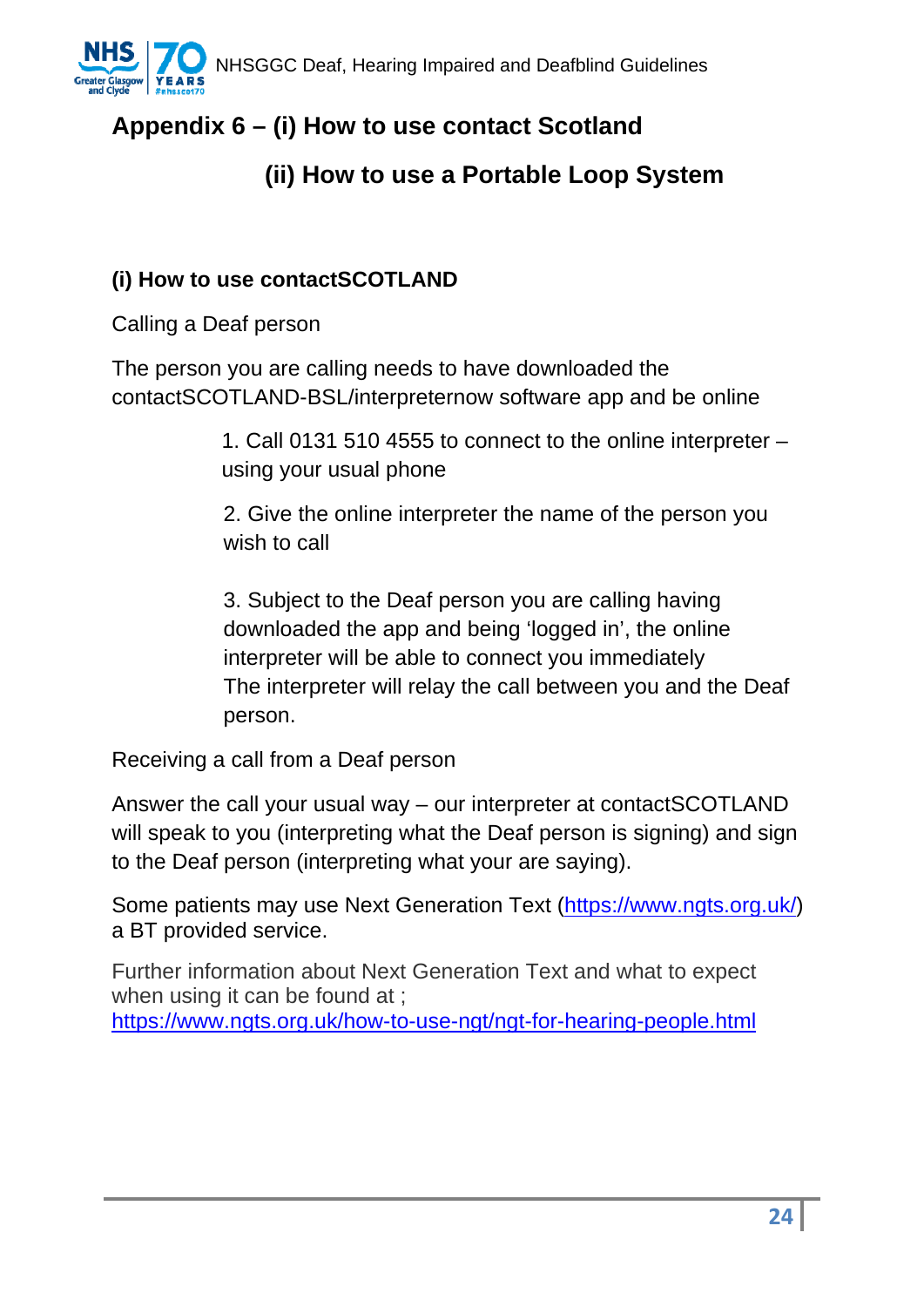

# **Appendix 6 – (i) How to use contact Scotland**

 **(ii) How to use a Portable Loop System** 

### **(i) How to use contactSCOTLAND**

Calling a Deaf person

The person you are calling needs to have downloaded the contactSCOTLAND-BSL/interpreternow software app and be online

> 1. Call 0131 510 4555 to connect to the online interpreter – using your usual phone

2. Give the online interpreter the name of the person you wish to call

3. Subject to the Deaf person you are calling having downloaded the app and being 'logged in', the online interpreter will be able to connect you immediately The interpreter will relay the call between you and the Deaf person.

Receiving a call from a Deaf person

Answer the call your usual way – our interpreter at contactSCOTLAND will speak to you (interpreting what the Deaf person is signing) and sign to the Deaf person (interpreting what your are saying).

Some patients may use Next Generation Text (https://www.ngts.org.uk/) a BT provided service.

Further information about Next Generation Text and what to expect when using it can be found at : https://www.ngts.org.uk/how-to-use-ngt/ngt-for-hearing-people.html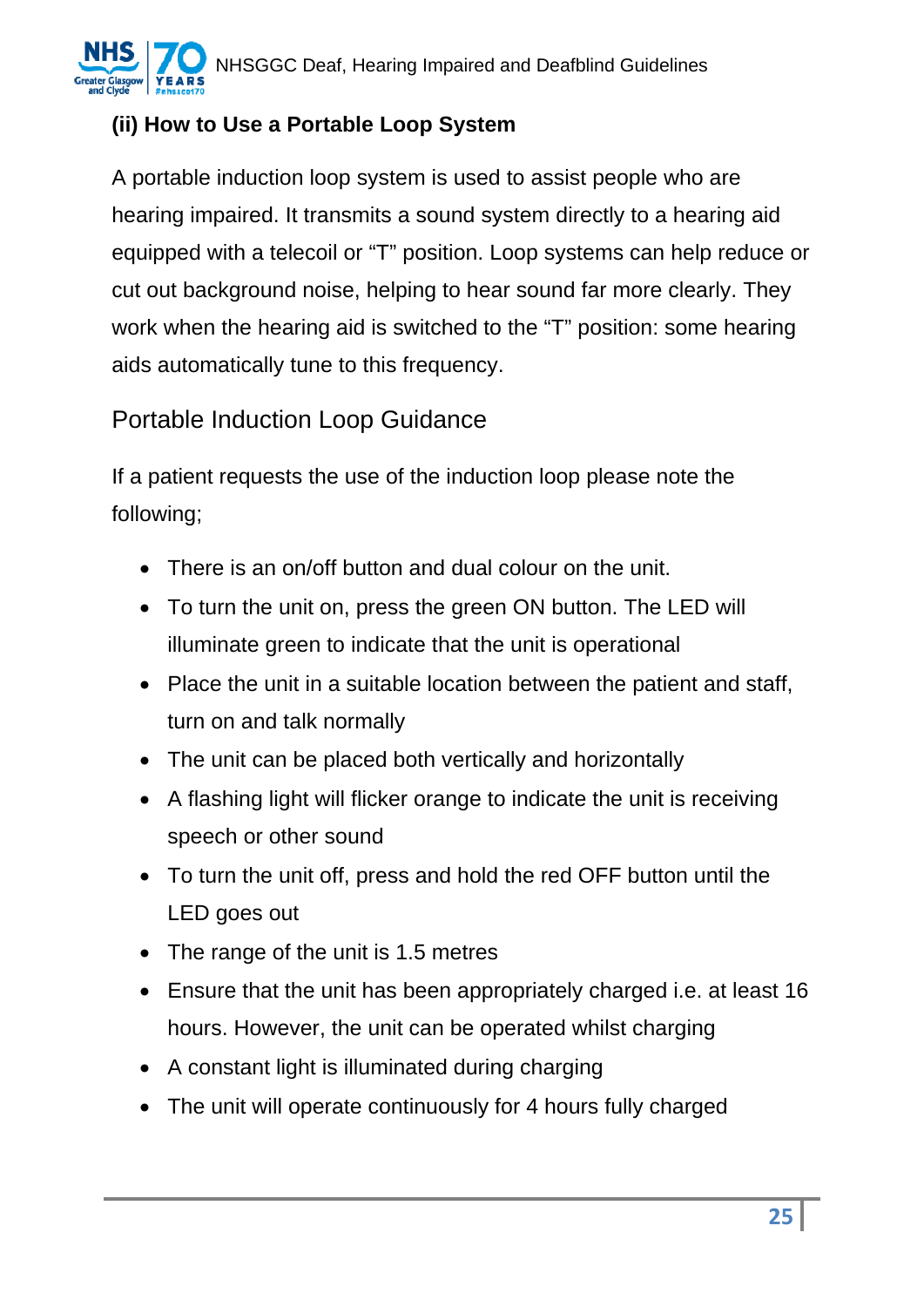### **(ii) How to Use a Portable Loop System**

A portable induction loop system is used to assist people who are hearing impaired. It transmits a sound system directly to a hearing aid equipped with a telecoil or "T" position. Loop systems can help reduce or cut out background noise, helping to hear sound far more clearly. They work when the hearing aid is switched to the "T" position: some hearing aids automatically tune to this frequency.

### Portable Induction Loop Guidance

If a patient requests the use of the induction loop please note the following;

- There is an on/off button and dual colour on the unit.
- To turn the unit on, press the green ON button. The LED will illuminate green to indicate that the unit is operational
- Place the unit in a suitable location between the patient and staff, turn on and talk normally
- The unit can be placed both vertically and horizontally
- A flashing light will flicker orange to indicate the unit is receiving speech or other sound
- To turn the unit off, press and hold the red OFF button until the LED goes out
- The range of the unit is 1.5 metres
- Ensure that the unit has been appropriately charged i.e. at least 16 hours. However, the unit can be operated whilst charging
- A constant light is illuminated during charging
- The unit will operate continuously for 4 hours fully charged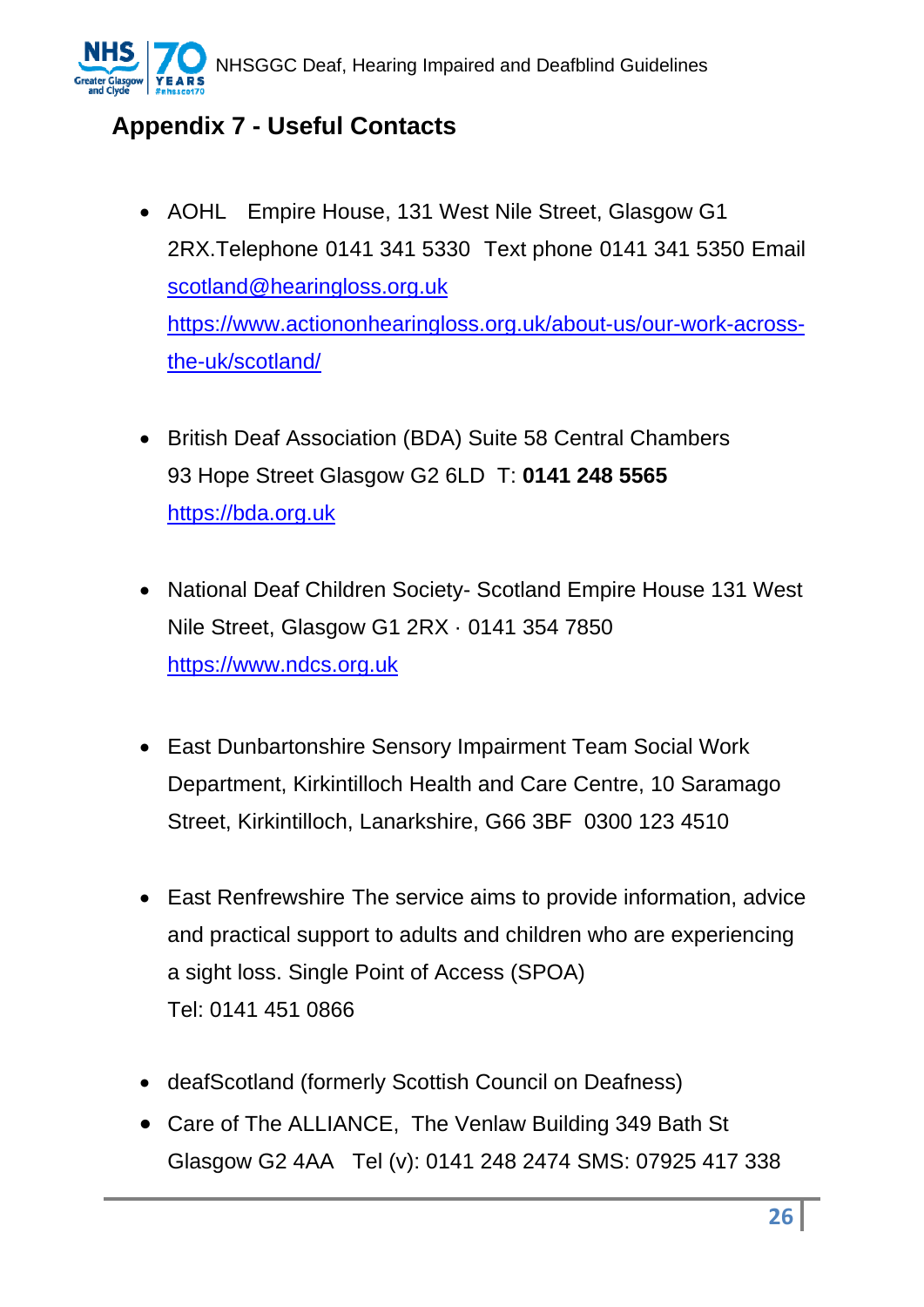### **Appendix 7 - Useful Contacts**

- AOHL Empire House, 131 West Nile Street, Glasgow G1 2RX.Telephone 0141 341 5330 Text phone 0141 341 5350 Email scotland@hearingloss.org.uk https://www.actiononhearingloss.org.uk/about-us/our-work-acrossthe-uk/scotland/
- British Deaf Association (BDA) Suite 58 Central Chambers 93 Hope Street Glasgow G2 6LD T: **0141 248 5565**  https://bda.org.uk
- National Deaf Children Society- Scotland Empire House 131 West Nile Street, Glasgow G1 2RX · 0141 354 7850 https://www.ndcs.org.uk
- East Dunbartonshire Sensory Impairment Team Social Work Department, Kirkintilloch Health and Care Centre, 10 Saramago Street, Kirkintilloch, Lanarkshire, G66 3BF 0300 123 4510
- East Renfrewshire The service aims to provide information, advice and practical support to adults and children who are experiencing a sight loss. Single Point of Access (SPOA) Tel: 0141 451 0866
- deafScotland (formerly Scottish Council on Deafness)
- Care of The ALLIANCE, The Venlaw Building 349 Bath St Glasgow G2 4AA Tel (v): 0141 248 2474 SMS: 07925 417 338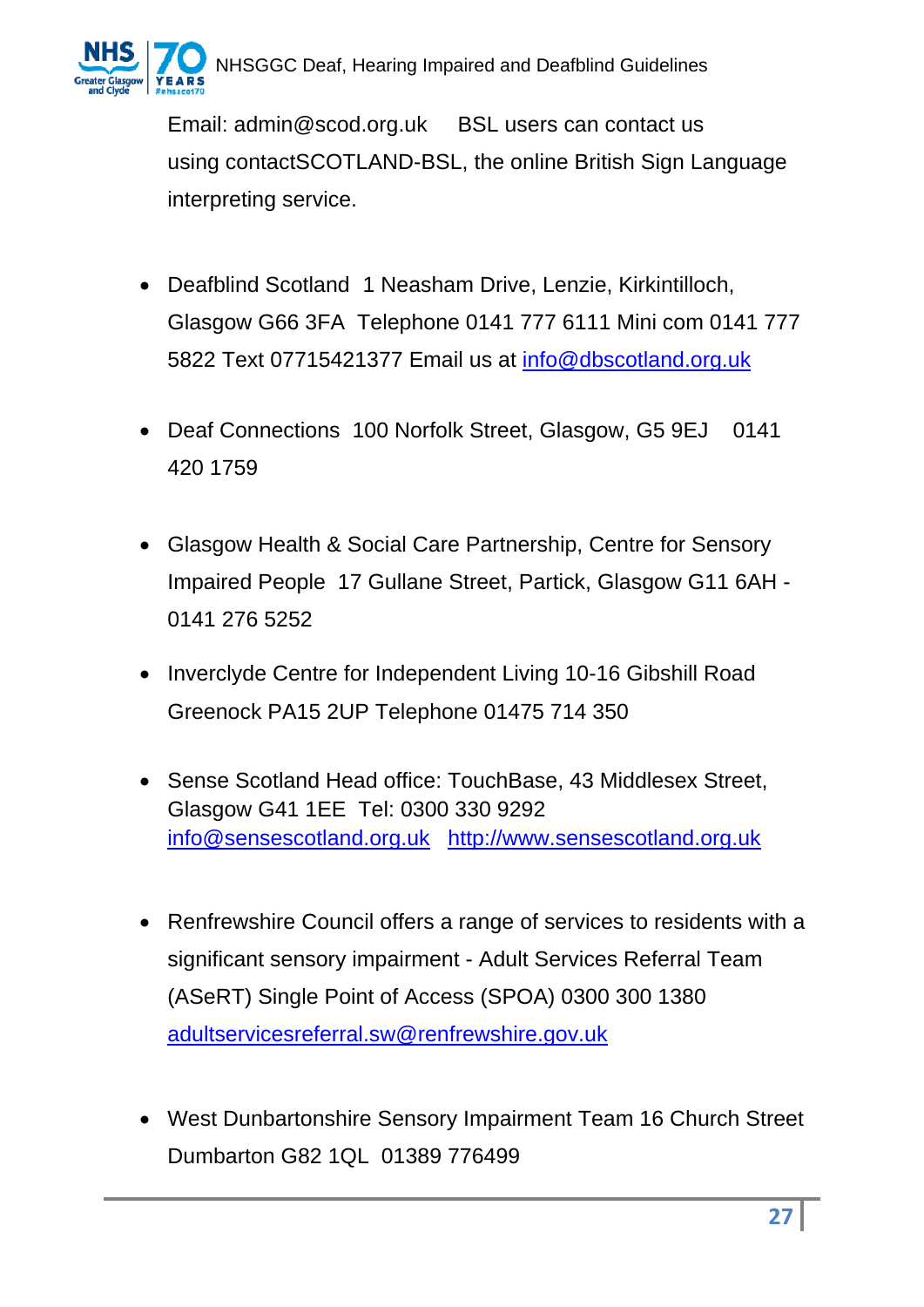

Email: admin@scod.org.uk BSL users can contact us using contactSCOTLAND-BSL, the online British Sign Language interpreting service.

- Deafblind Scotland 1 Neasham Drive, Lenzie, Kirkintilloch, Glasgow G66 3FA Telephone 0141 777 6111 Mini com 0141 777 5822 Text 07715421377 Email us at info@dbscotland.org.uk
- Deaf Connections 100 Norfolk Street, Glasgow, G5 9EJ 0141 420 1759
- Glasgow Health & Social Care Partnership, Centre for Sensory Impaired People 17 Gullane Street, Partick, Glasgow G11 6AH - 0141 276 5252
- Inverclyde Centre for Independent Living 10-16 Gibshill Road Greenock PA15 2UP Telephone 01475 714 350
- Sense Scotland Head office: TouchBase, 43 Middlesex Street, Glasgow G41 1EE Tel: 0300 330 9292 info@sensescotland.org.uk http://www.sensescotland.org.uk
- Renfrewshire Council offers a range of services to residents with a significant sensory impairment - Adult Services Referral Team (ASeRT) Single Point of Access (SPOA) 0300 300 1380 adultservicesreferral.sw@renfrewshire.gov.uk
- West Dunbartonshire Sensory Impairment Team 16 Church Street Dumbarton G82 1QL 01389 776499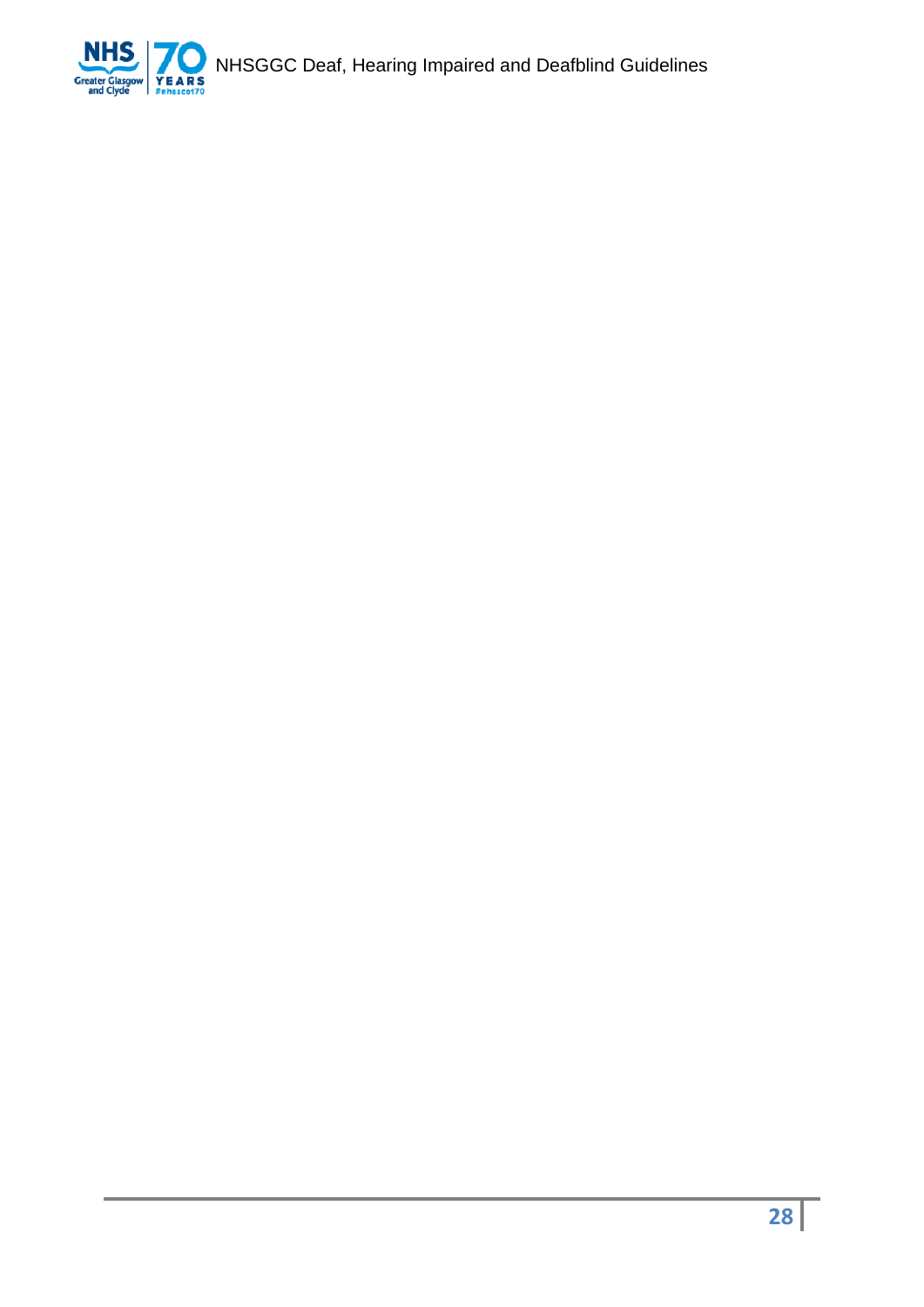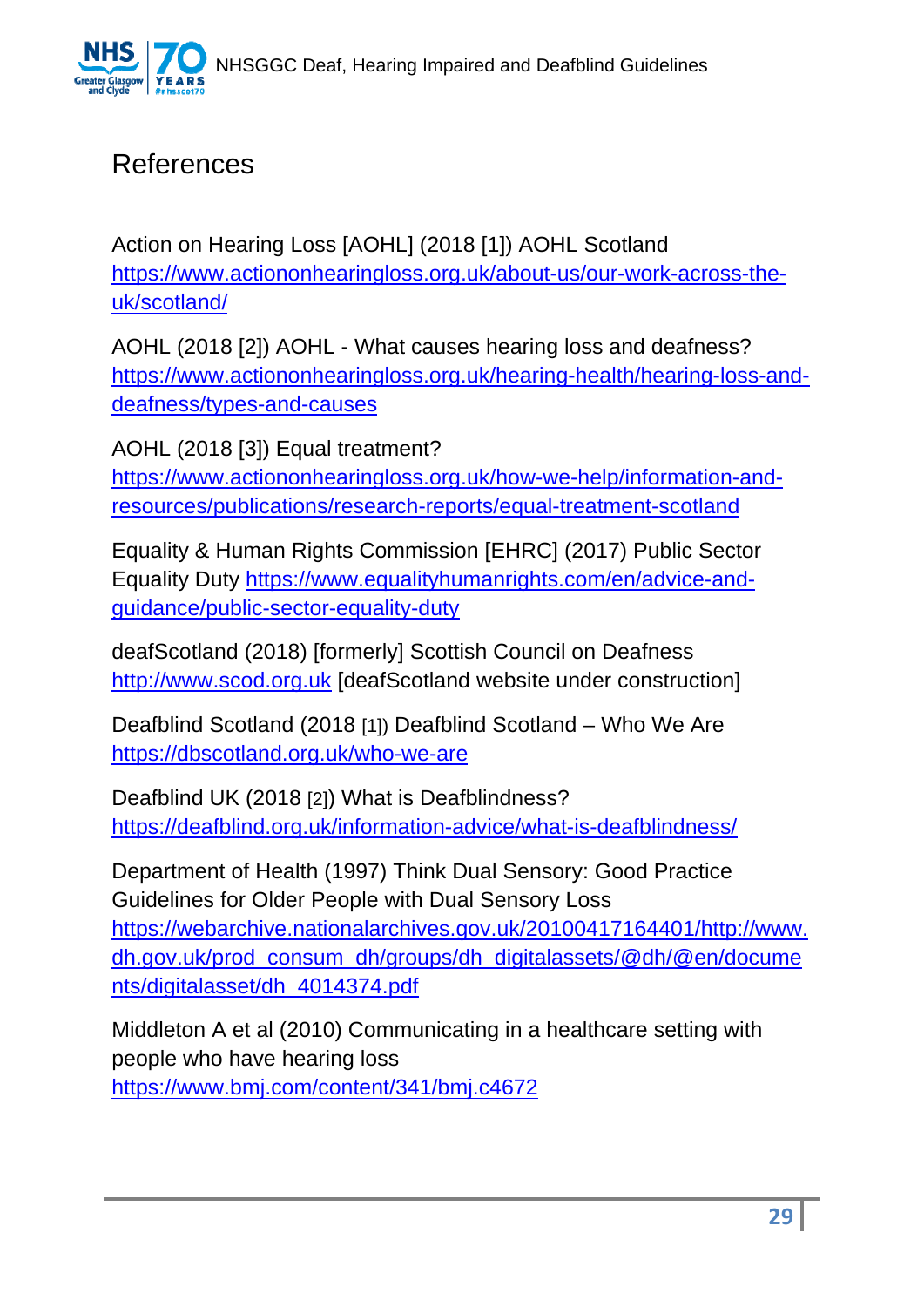

# References

Action on Hearing Loss [AOHL] (2018 [1]) AOHL Scotland https://www.actiononhearingloss.org.uk/about-us/our-work-across-theuk/scotland/

AOHL (2018 [2]) AOHL - What causes hearing loss and deafness? https://www.actiononhearingloss.org.uk/hearing-health/hearing-loss-anddeafness/types-and-causes

AOHL (2018 [3]) Equal treatment? https://www.actiononhearingloss.org.uk/how-we-help/information-andresources/publications/research-reports/equal-treatment-scotland

Equality & Human Rights Commission [EHRC] (2017) Public Sector Equality Duty https://www.equalityhumanrights.com/en/advice-andguidance/public-sector-equality-duty

deafScotland (2018) [formerly] Scottish Council on Deafness http://www.scod.org.uk [deafScotland website under construction]

Deafblind Scotland (2018 [1]) Deafblind Scotland – Who We Are https://dbscotland.org.uk/who-we-are

Deafblind UK (2018 [2]) What is Deafblindness? https://deafblind.org.uk/information-advice/what-is-deafblindness/

Department of Health (1997) Think Dual Sensory: Good Practice Guidelines for Older People with Dual Sensory Loss https://webarchive.nationalarchives.gov.uk/20100417164401/http://www. dh.gov.uk/prod\_consum\_dh/groups/dh\_digitalassets/@dh/@en/docume nts/digitalasset/dh\_4014374.pdf

Middleton A et al (2010) Communicating in a healthcare setting with people who have hearing loss https://www.bmj.com/content/341/bmj.c4672